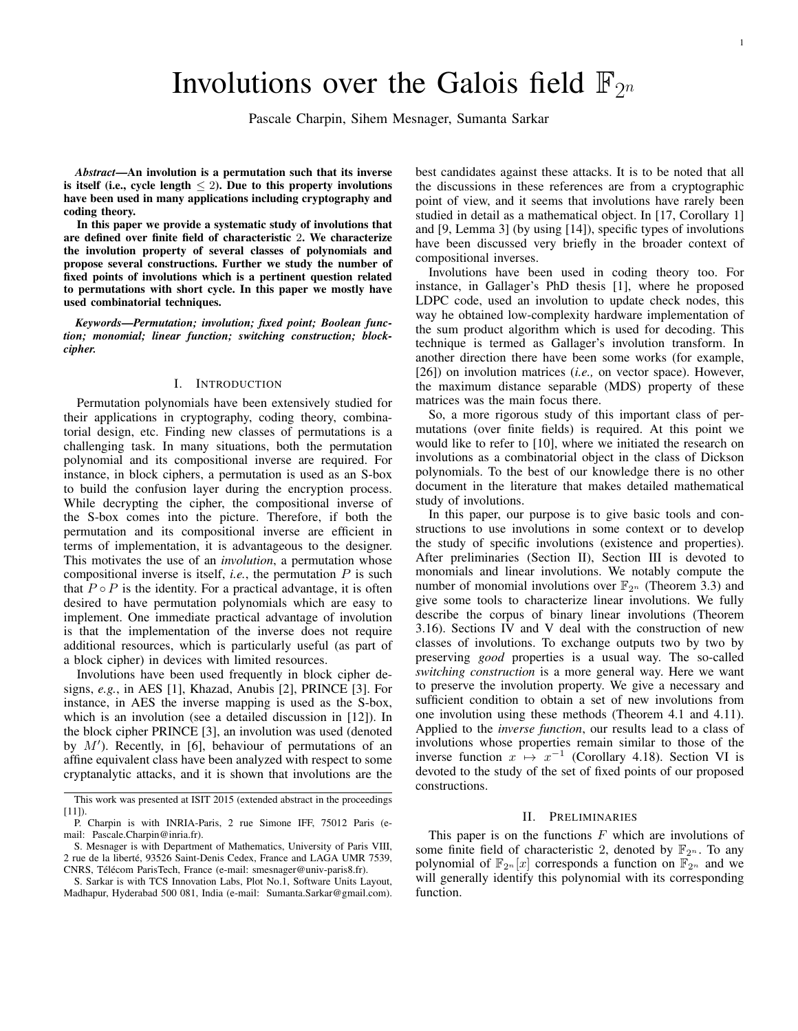# Involutions over the Galois field  $\mathbb{F}_{2^n}$

Pascale Charpin, Sihem Mesnager, Sumanta Sarkar

*Abstract*—An involution is a permutation such that its inverse is itself (i.e., cycle length  $\leq$  2). Due to this property involutions have been used in many applications including cryptography and coding theory.

In this paper we provide a systematic study of involutions that are defined over finite field of characteristic 2. We characterize the involution property of several classes of polynomials and propose several constructions. Further we study the number of fixed points of involutions which is a pertinent question related to permutations with short cycle. In this paper we mostly have used combinatorial techniques.

*Keywords*—*Permutation; involution; fixed point; Boolean function; monomial; linear function; switching construction; blockcipher.*

## I. INTRODUCTION

Permutation polynomials have been extensively studied for their applications in cryptography, coding theory, combinatorial design, etc. Finding new classes of permutations is a challenging task. In many situations, both the permutation polynomial and its compositional inverse are required. For instance, in block ciphers, a permutation is used as an S-box to build the confusion layer during the encryption process. While decrypting the cipher, the compositional inverse of the S-box comes into the picture. Therefore, if both the permutation and its compositional inverse are efficient in terms of implementation, it is advantageous to the designer. This motivates the use of an *involution*, a permutation whose compositional inverse is itself, *i.e.*, the permutation *P* is such that  $P \circ P$  is the identity. For a practical advantage, it is often desired to have permutation polynomials which are easy to implement. One immediate practical advantage of involution is that the implementation of the inverse does not require additional resources, which is particularly useful (as part of a block cipher) in devices with limited resources.

Involutions have been used frequently in block cipher designs, *e.g.*, in AES [1], Khazad, Anubis [2], PRINCE [3]. For instance, in AES the inverse mapping is used as the S-box, which is an involution (see a detailed discussion in [12]). In the block cipher PRINCE [3], an involution was used (denoted by *M′* ). Recently, in [6], behaviour of permutations of an affine equivalent class have been analyzed with respect to some cryptanalytic attacks, and it is shown that involutions are the best candidates against these attacks. It is to be noted that all the discussions in these references are from a cryptographic point of view, and it seems that involutions have rarely been studied in detail as a mathematical object. In [17, Corollary 1] and [9, Lemma 3] (by using [14]), specific types of involutions have been discussed very briefly in the broader context of compositional inverses.

Involutions have been used in coding theory too. For instance, in Gallager's PhD thesis [1], where he proposed LDPC code, used an involution to update check nodes, this way he obtained low-complexity hardware implementation of the sum product algorithm which is used for decoding. This technique is termed as Gallager's involution transform. In another direction there have been some works (for example, [26]) on involution matrices (*i.e.,* on vector space). However, the maximum distance separable (MDS) property of these matrices was the main focus there.

So, a more rigorous study of this important class of permutations (over finite fields) is required. At this point we would like to refer to [10], where we initiated the research on involutions as a combinatorial object in the class of Dickson polynomials. To the best of our knowledge there is no other document in the literature that makes detailed mathematical study of involutions.

In this paper, our purpose is to give basic tools and constructions to use involutions in some context or to develop the study of specific involutions (existence and properties). After preliminaries (Section II), Section III is devoted to monomials and linear involutions. We notably compute the number of monomial involutions over  $\mathbb{F}_{2^n}$  (Theorem 3.3) and give some tools to characterize linear involutions. We fully describe the corpus of binary linear involutions (Theorem 3.16). Sections IV and V deal with the construction of new classes of involutions. To exchange outputs two by two by preserving *good* properties is a usual way. The so-called *switching construction* is a more general way. Here we want to preserve the involution property. We give a necessary and sufficient condition to obtain a set of new involutions from one involution using these methods (Theorem 4.1 and 4.11). Applied to the *inverse function*, our results lead to a class of involutions whose properties remain similar to those of the inverse function  $x \mapsto x^{-1}$  (Corollary 4.18). Section VI is devoted to the study of the set of fixed points of our proposed constructions.

#### II. PRELIMINARIES

This paper is on the functions *F* which are involutions of some finite field of characteristic 2, denoted by  $\mathbb{F}_{2^n}$ . To any polynomial of  $\mathbb{F}_{2^n}[x]$  corresponds a function on  $\mathbb{F}_{2^n}$  and we will generally identify this polynomial with its corresponding function.

This work was presented at ISIT 2015 (extended abstract in the proceedings [11]).

P. Charpin is with INRIA-Paris, 2 rue Simone IFF, 75012 Paris (email: Pascale.Charpin@inria.fr).

S. Mesnager is with Department of Mathematics, University of Paris VIII, 2 rue de la liberte, 93526 Saint-Denis Cedex, France and LAGA UMR 7539, ´ CNRS, Télécom ParisTech, France (e-mail: smesnager@univ-paris8.fr).

S. Sarkar is with TCS Innovation Labs, Plot No.1, Software Units Layout, Madhapur, Hyderabad 500 081, India (e-mail: Sumanta.Sarkar@gmail.com).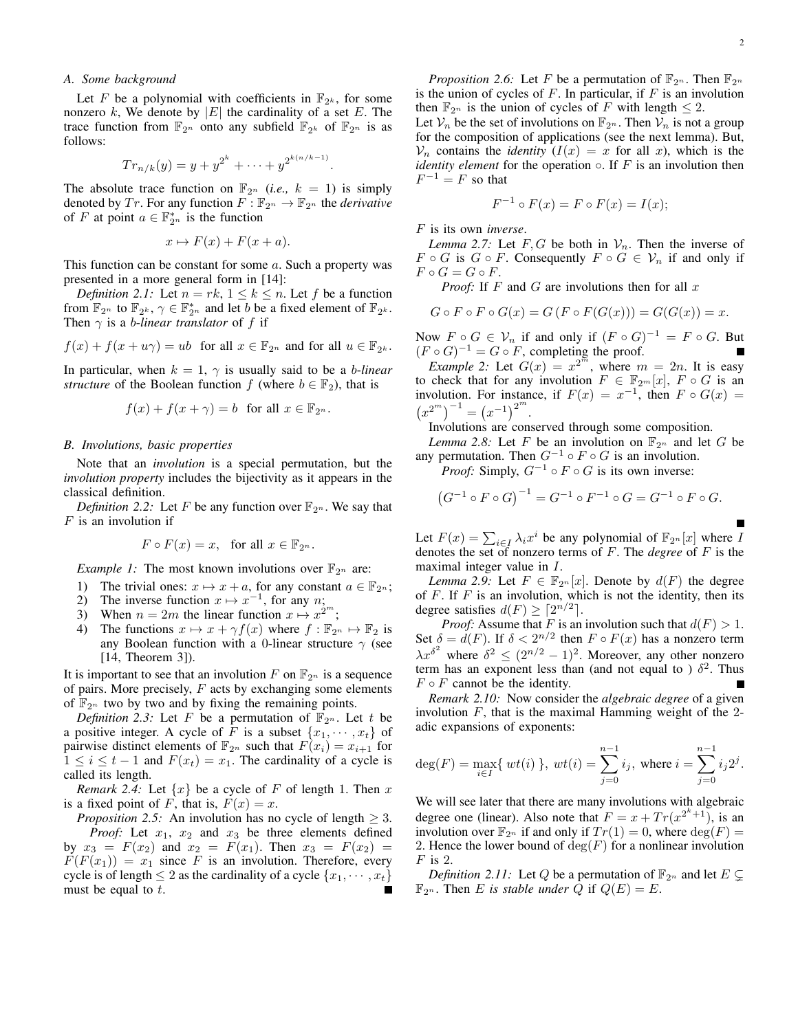# *A. Some background*

Let *F* be a polynomial with coefficients in  $\mathbb{F}_{2^k}$ , for some nonzero  $k$ , We denote by  $|E|$  the cardinality of a set  $E$ . The trace function from  $\mathbb{F}_{2^n}$  onto any subfield  $\mathbb{F}_{2^k}$  of  $\mathbb{F}_{2^n}$  is as follows:

$$
Tr_{n/k}(y) = y + y^{2^k} + \dots + y^{2^{k(n/k-1)}}.
$$

The absolute trace function on  $\mathbb{F}_{2^n}$  (*i.e.*,  $k = 1$ ) is simply denoted by *Tr*. For any function  $F : \mathbb{F}_{2^n} \to \mathbb{F}_{2^n}$  the *derivative* of *F* at point  $a \in \mathbb{F}_{2^n}^*$  is the function

$$
x \mapsto F(x) + F(x + a).
$$

This function can be constant for some *a*. Such a property was presented in a more general form in [14]:

*Definition 2.1:* Let  $n = rk$ ,  $1 \leq k \leq n$ . Let  $f$  be a function from  $\mathbb{F}_{2^n}$  to  $\mathbb{F}_{2^k}$ ,  $\gamma \in \mathbb{F}_{2^n}^*$  and let *b* be a fixed element of  $\mathbb{F}_{2^k}$ . Then  $\gamma$  is a *b*-*linear translator* of *f* if

$$
f(x) + f(x + u\gamma) = ub \text{ for all } x \in \mathbb{F}_{2^n} \text{ and for all } u \in \mathbb{F}_{2^k}.
$$

In particular, when  $k = 1$ ,  $\gamma$  is usually said to be a *b*-*linear structure* of the Boolean function *f* (where  $b \in \mathbb{F}_2$ ), that is

$$
f(x) + f(x + \gamma) = b \quad \text{for all } x \in \mathbb{F}_{2^n}.
$$

#### *B. Involutions, basic properties*

Note that an *involution* is a special permutation, but the *involution property* includes the bijectivity as it appears in the classical definition.

*Definition 2.2:* Let *F* be any function over  $\mathbb{F}_{2^n}$ . We say that *F* is an involution if

$$
F \circ F(x) = x, \text{ for all } x \in \mathbb{F}_{2^n}.
$$

*Example 1:* The most known involutions over  $\mathbb{F}_{2^n}$  are:

- 1) The trivial ones:  $x \mapsto x + a$ , for any constant  $a \in \mathbb{F}_{2^n}$ ;
- 2) The inverse function  $x \mapsto x^{-1}$ , for any *n*;
- 3) When  $n = 2m$  the linear function  $x \mapsto x^{2m}$ ;
- 4) The functions  $x \mapsto x + \gamma f(x)$  where  $f : \mathbb{F}_{2^n} \mapsto \mathbb{F}_2$  is any Boolean function with a 0-linear structure *γ* (see [14, Theorem 3]).

It is important to see that an involution *F* on  $\mathbb{F}_{2^n}$  is a sequence of pairs. More precisely, *F* acts by exchanging some elements of  $\mathbb{F}_{2^n}$  two by two and by fixing the remaining points.

*Definition 2.3:* Let *F* be a permutation of  $\mathbb{F}_{2^n}$ . Let *t* be a positive integer. A cycle of *F* is a subset  $\{x_1, \dots, x_t\}$  of pairwise distinct elements of  $\mathbb{F}_{2^n}$  such that  $F(x_i) = x_{i+1}$  for  $1 \leq i \leq t-1$  and  $F(x_t) = x_1$ . The cardinality of a cycle is called its length.

*Remark 2.4:* Let  $\{x\}$  be a cycle of *F* of length 1. Then *x* is a fixed point of *F*, that is,  $F(x) = x$ .

*Proposition 2.5:* An involution has no cycle of length  $\geq 3$ . *Proof:* Let *x*1, *x*<sup>2</sup> and *x*<sup>3</sup> be three elements defined by  $x_3 = F(x_2)$  and  $x_2 = F(x_1)$ . Then  $x_3 = F(x_2) =$  $F(F(x_1)) = x_1$  since *F* is an involution. Therefore, every cycle is of length  $\leq 2$  as the cardinality of a cycle  $\{x_1, \dots, x_t\}$ must be equal to *t*.

*Proposition 2.6:* Let *F* be a permutation of  $\mathbb{F}_{2^n}$ . Then  $\mathbb{F}_{2^n}$ is the union of cycles of *F*. In particular, if *F* is an involution then  $\mathbb{F}_{2^n}$  is the union of cycles of *F* with length  $\leq 2$ .

Let  $V_n$  be the set of involutions on  $\mathbb{F}_{2^n}$ . Then  $V_n$  is not a group for the composition of applications (see the next lemma). But,  $V_n$  contains the *identity*  $(I(x) = x$  for all *x*), which is the *identity element* for the operation  $\circ$ . If *F* is an involution then  $F^{-1} = F$  so that

$$
F^{-1} \circ F(x) = F \circ F(x) = I(x);
$$

*F* is its own *inverse*.

*Lemma 2.7:* Let  $F, G$  be both in  $V_n$ . Then the inverse of *F*  $\circ$  *G* is *G*  $\circ$  *F*. Consequently *F*  $\circ$  *G*  $\in$  *V<sub>n</sub>* if and only if  $F \circ G = G \circ F$ .

*Proof:* If *F* and *G* are involutions then for all *x*

$$
G \circ F \circ F \circ G(x) = G (F \circ F(G(x))) = G(G(x)) = x.
$$

Now  $F \circ G \in \mathcal{V}_n$  if and only if  $(F \circ G)^{-1} = F \circ G$ . But  $(F \circ G)^{-1} = G \circ F$ , completing the proof.

*Example 2:* Let  $G(x) = x^{2^m}$ , where  $m = 2n$ . It is easy to check that for any involution  $F \in \mathbb{F}_{2^m}[x]$ ,  $F \circ G$  is an involution. For instance, if  $F(x) = x^{-1}$ , then  $F \circ G(x) =$  $(x^{2^m})^{-1} = (x^{-1})^{2^m}.$ 

Involutions are conserved through some composition.

*Lemma 2.8:* Let *F* be an involution on  $\mathbb{F}_{2^n}$  and let *G* be any permutation. Then  $G^{-1} \circ F \circ G$  is an involution.

*Proof:* Simply,  $G^{-1} \circ F \circ G$  is its own inverse:

$$
(G^{-1} \circ F \circ G)^{-1} = G^{-1} \circ F^{-1} \circ G = G^{-1} \circ F \circ G.
$$

Let  $F(x) = \sum_{i \in I} \lambda_i x^i$  be any polynomial of  $\mathbb{F}_{2^n}[x]$  where *I* denotes the set of nonzero terms of *F*. The *degree* of *F* is the maximal integer value in *I*.

*Lemma 2.9:* Let  $F \in \mathbb{F}_{2^n}[x]$ . Denote by  $d(F)$  the degree of *F*. If *F* is an involution, which is not the identity, then its degree satisfies  $d(F) \geq \lceil 2^{n/2} \rceil$ .

*Proof:* Assume that *F* is an involution such that  $d(F) > 1$ . Set  $\delta = d(F)$ . If  $\delta < 2^{n/2}$  then  $F \circ F(x)$  has a nonzero term  $\lambda x^{\delta^2}$  where  $\delta^2 \leq (2^{n/2} - 1)^2$ . Moreover, any other nonzero term has an exponent less than (and not equal to )  $\delta^2$ . Thus  $F \circ F$  cannot be the identity.

*Remark 2.10:* Now consider the *algebraic degree* of a given involution *F*, that is the maximal Hamming weight of the 2 adic expansions of exponents:

$$
\deg(F) = \max_{i \in I} \{ wt(i) \}, wt(i) = \sum_{j=0}^{n-1} i_j, \text{ where } i = \sum_{j=0}^{n-1} i_j 2^j.
$$

We will see later that there are many involutions with algebraic degree one (linear). Also note that  $F = x + Tr(x^{2^k+1})$ , is an involution over  $\mathbb{F}_{2^n}$  if and only if  $Tr(1) = 0$ , where  $deg(F) =$ 2. Hence the lower bound of  $deg(F)$  for a nonlinear involution *F* is 2.

*Definition 2.11:* Let *Q* be a permutation of  $\mathbb{F}_{2^n}$  and let  $E \subseteq$  $\mathbb{F}_{2^n}$ . Then *E* is stable under *Q* if  $Q(E) = E$ .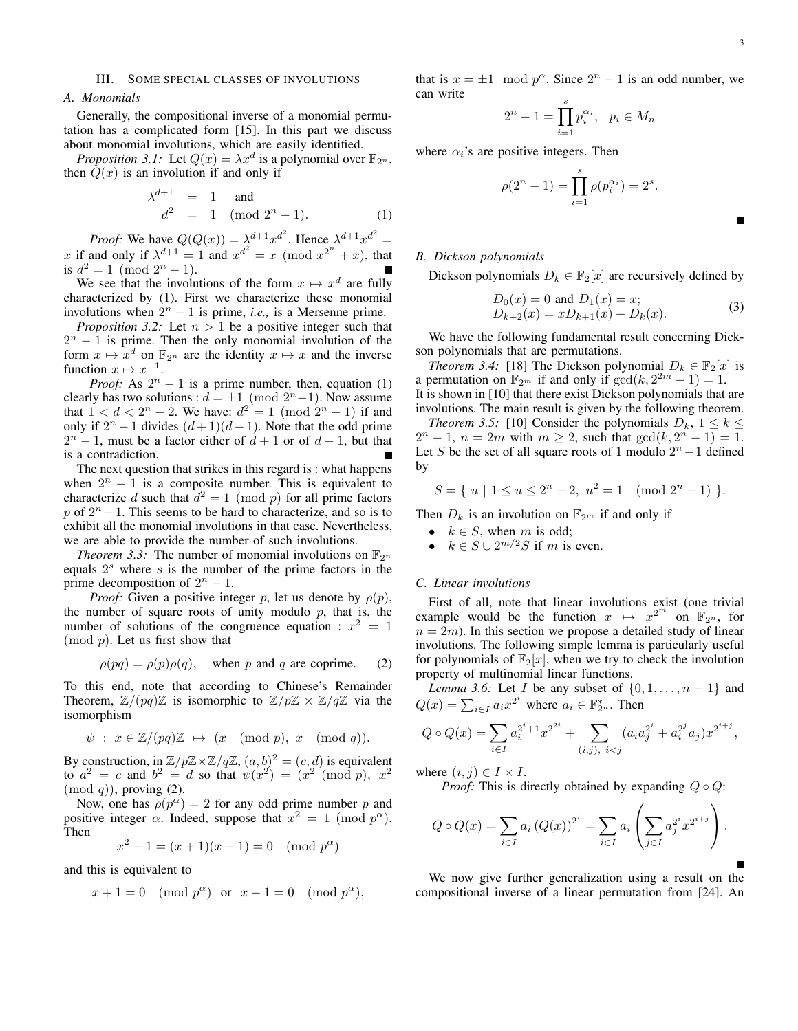## III. SOME SPECIAL CLASSES OF INVOLUTIONS

## *A. Monomials*

Generally, the compositional inverse of a monomial permutation has a complicated form [15]. In this part we discuss about monomial involutions, which are easily identified.

*Proposition 3.1:* Let  $Q(x) = \lambda x^d$  is a polynomial over  $\mathbb{F}_{2^n}$ , then  $Q(x)$  is an involution if and only if

$$
\lambda^{d+1} = 1 \text{ and} \n d^2 = 1 \pmod{2^n - 1}.
$$
\n(1)

*Proof:* We have  $Q(Q(x)) = \lambda^{d+1} x^{d^2}$ . Hence  $\lambda^{d+1} x^{d^2} =$ *x* if and only if  $\lambda^{d+1} = 1$  and  $x^{d^2} = x \pmod{x^{2^n} + x}$ , that is  $d^2 = 1 \pmod{2^n - 1}$ .

We see that the involutions of the form  $x \mapsto x^d$  are fully characterized by (1). First we characterize these monomial involutions when  $2^n - 1$  is prime, *i.e.*, is a Mersenne prime.

*Proposition 3.2:* Let *n >* 1 be a positive integer such that  $2<sup>n</sup> - 1$  is prime. Then the only monomial involution of the form  $x \mapsto x^d$  on  $\mathbb{F}_{2^n}$  are the identity  $x \mapsto x$  and the inverse function  $x \mapsto x^{-1}$ .

*Proof:* As  $2^n - 1$  is a prime number, then, equation (1) clearly has two solutions :  $d = \pm 1 \pmod{2^{n}-1}$ . Now assume that  $1 < d < 2^n - 2$ . We have:  $d^2 = 1 \pmod{2^n - 1}$  if and only if  $2^n - 1$  divides  $(d+1)(d-1)$ . Note that the odd prime  $2<sup>n</sup> - 1$ , must be a factor either of  $d + 1$  or of  $d - 1$ , but that is a contradiction.

The next question that strikes in this regard is : what happens when  $2^n - 1$  is a composite number. This is equivalent to characterize *d* such that  $d^2 = 1 \pmod{p}$  for all prime factors *p* of  $2<sup>n</sup> − 1$ . This seems to be hard to characterize, and so is to exhibit all the monomial involutions in that case. Nevertheless, we are able to provide the number of such involutions.

*Theorem 3.3:* The number of monomial involutions on  $\mathbb{F}_{2^n}$ equals 2 *<sup>s</sup>* where *s* is the number of the prime factors in the prime decomposition of  $2^n - 1$ .

*Proof:* Given a positive integer *p*, let us denote by  $\rho(p)$ , the number of square roots of unity modulo *p*, that is, the number of solutions of the congruence equation :  $x^2 = 1$ (mod *p*). Let us first show that

$$
\rho(pq) = \rho(p)\rho(q)
$$
, when p and q are coprime. (2)

To this end, note that according to Chinese's Remainder Theorem,  $\mathbb{Z}/(pq)\mathbb{Z}$  is isomorphic to  $\mathbb{Z}/p\mathbb{Z} \times \mathbb{Z}/q\mathbb{Z}$  via the isomorphism

$$
\psi \; : \; x \in \mathbb{Z}/(pq)\mathbb{Z} \; \mapsto \; (x \pmod{p}, \; x \pmod{q}).
$$

By construction, in  $\mathbb{Z}/p\mathbb{Z} \times \mathbb{Z}/q\mathbb{Z}$ ,  $(a, b)^2 = (c, d)$  is equivalent  $\alpha^2 = c$  and  $b^2 = d$  so that  $\psi(x^2) = (x^2 \pmod{p}, x^2)$ (mod *q*)), proving (2).

Now, one has  $\rho(p^{\alpha}) = 2$  for any odd prime number *p* and positive integer  $\alpha$ . Indeed, suppose that  $x^2 = 1 \pmod{p^{\alpha}}$ . Then

$$
x^2 - 1 = (x+1)(x-1) = 0 \pmod{p^{\alpha}}
$$

and this is equivalent to

$$
x + 1 = 0 \pmod{p^{\alpha}} \text{ or } x - 1 = 0 \pmod{p^{\alpha}},
$$

that is  $x = \pm 1 \mod p^{\alpha}$ . Since  $2^{n} - 1$  is an odd number, we can write

$$
2^n - 1 = \prod_{i=1}^s p_i^{\alpha_i}, \quad p_i \in M_n
$$

where  $\alpha_i$ 's are positive integers. Then

$$
\rho(2^n - 1) = \prod_{i=1}^s \rho(p_i^{\alpha_i}) = 2^s.
$$

## *B. Dickson polynomials*

Dickson polynomials  $D_k \in \mathbb{F}_2[x]$  are recursively defined by

$$
D_0(x) = 0 \text{ and } D_1(x) = x; D_{k+2}(x) = xD_{k+1}(x) + D_k(x).
$$
 (3)

We have the following fundamental result concerning Dickson polynomials that are permutations.

*Theorem 3.4:* [18] The Dickson polynomial  $D_k \in \mathbb{F}_2[x]$  is a permutation on  $\mathbb{F}_{2^m}$  if and only if  $gcd(k, 2^{2m} - 1) = 1$ . It is shown in [10] that there exist Dickson polynomials that are involutions. The main result is given by the following theorem.

*Theorem 3.5:* [10] Consider the polynomials  $D_k$ ,  $1 \leq k \leq$  $2^{n} - 1$ ,  $n = 2m$  with  $m \ge 2$ , such that  $gcd(k, 2^{n} - 1) = 1$ . Let *S* be the set of all square roots of 1 modulo  $2<sup>n</sup> - 1$  defined by

$$
S = \{ u \mid 1 \le u \le 2^n - 2, u^2 = 1 \pmod{2^n - 1} \}.
$$

Then  $D_k$  is an involution on  $\mathbb{F}_{2^m}$  if and only if

- $k \in S$ , when *m* is odd;
- $k \in S \cup 2^{m/2}S$  if *m* is even.

#### *C. Linear involutions*

First of all, note that linear involutions exist (one trivial example would be the function  $x \mapsto x^{2^m}$  on  $\mathbb{F}_{2^n}$ , for  $n = 2m$ ). In this section we propose a detailed study of linear involutions. The following simple lemma is particularly useful for polynomials of  $\mathbb{F}_2[x]$ , when we try to check the involution property of multinomial linear functions.

*Lemma 3.6:* Let *I* be any subset of *{*0*,* 1*, . . . , n −* 1*}* and  $Q(x) = \sum_{i \in I} a_i x^{2^i}$  where  $a_i \in \mathbb{F}_{2^n}^*$ . Then

$$
Q \circ Q(x) = \sum_{i \in I} a_i^{2^i+1} x^{2^{2i}} + \sum_{(i,j), \ i < j} (a_i a_j^{2^i} + a_i^{2^j} a_j) x^{2^{i+j}},
$$

where  $(i, j) \in I \times I$ .

*Proof:* This is directly obtained by expanding  $Q ∘ Q$ :

$$
Q \circ Q(x) = \sum_{i \in I} a_i (Q(x))^{2^i} = \sum_{i \in I} a_i \left( \sum_{j \in I} a_j^{2^i} x^{2^{i+j}} \right).
$$

We now give further generalization using a result on the compositional inverse of a linear permutation from [24]. An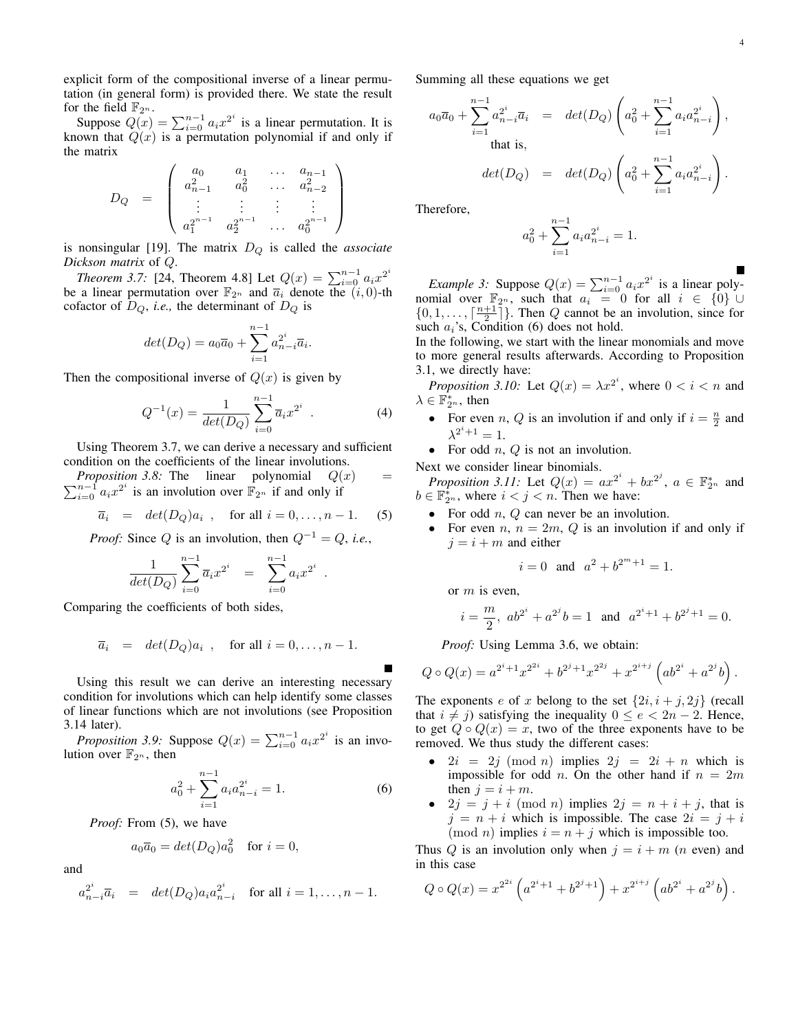explicit form of the compositional inverse of a linear permutation (in general form) is provided there. We state the result for the field  $\mathbb{F}_{2^n}$ .

Suppose  $Q(x) = \sum_{i=0}^{n-1} a_i x^{2^i}$  is a linear permutation. It is known that  $Q(x)$  is a permutation polynomial if and only if the matrix

$$
D_Q = \left( \begin{array}{cccc} a_0 & a_1 & \dots & a_{n-1} \\ a_{n-1}^2 & a_0^2 & \dots & a_{n-2}^2 \\ \vdots & \vdots & \vdots & \vdots \\ a_1^{2^{n-1}} & a_2^{2^{n-1}} & \dots & a_0^{2^{n-1}} \end{array} \right)
$$

is nonsingular [19]. The matrix *D<sup>Q</sup>* is called the *associate Dickson matrix* of *Q*.

*Theorem 3.7:* [24, Theorem 4.8] Let  $Q(x) = \sum_{i=0}^{n-1} a_i x^{2^i}$ be a linear permutation over  $\mathbb{F}_{2^n}$  and  $\overline{a}_i$  denote the  $(i, 0)$ -th cofactor of  $D_Q$ , *i.e.*, the determinant of  $D_Q$  is

$$
det(D_Q) = a_0 \overline{a}_0 + \sum_{i=1}^{n-1} a_{n-i}^{2^i} \overline{a}_i.
$$

Then the compositional inverse of  $Q(x)$  is given by

$$
Q^{-1}(x) = \frac{1}{\det(D_Q)} \sum_{i=0}^{n-1} \overline{a}_i x^{2^i} .
$$
 (4)

Using Theorem 3.7, we can derive a necessary and sufficient condition on the coefficients of the linear involutions.

 $\sum_{i=0}^{n-1} a_i x^{2^i}$  is an involution over  $\mathbb{F}_{2^n}$  if and only if *Proposition 3.8:* The linear polynomial  $Q(x)$  =

$$
\overline{a}_i = det(D_Q)a_i , \text{ for all } i = 0, \dots, n-1.
$$
 (5)

*Proof:* Since *Q* is an involution, then *Q−*<sup>1</sup> = *Q*, *i.e.*,

$$
\frac{1}{\det(D_Q)} \sum_{i=0}^{n-1} \overline{a_i} x^{2^i} = \sum_{i=0}^{n-1} a_i x^{2^i}
$$

Comparing the coefficients of both sides,

$$
\overline{a}_i = det(D_Q)a_i
$$
, for all  $i = 0, ..., n-1$ .

Using this result we can derive an interesting necessary condition for involutions which can help identify some classes of linear functions which are not involutions (see Proposition 3.14 later).

*Proposition 3.9:* Suppose  $Q(x) = \sum_{i=0}^{n-1} a_i x^{2^i}$  is an involution over  $\mathbb{F}_{2^n}$ , then

$$
a_0^2 + \sum_{i=1}^{n-1} a_i a_{n-i}^{2^i} = 1.
$$
 (6)

*.*

*Proof:* From (5), we have

$$
a_0\overline{a}_0 = det(D_Q)a_0^2 \text{ for } i = 0,
$$

and

$$
a_{n-i}^{2^i} \overline{a}_i = det(D_Q)a_i a_{n-i}^{2^i}
$$
 for all  $i = 1, ..., n-1$ .

Summing all these equations we get

$$
a_0\overline{a}_0 + \sum_{i=1}^{n-1} a_{n-i}^{2^i} \overline{a}_i = det(D_Q) \left( a_0^2 + \sum_{i=1}^{n-1} a_i a_{n-i}^{2^i} \right),
$$
  
that is,  

$$
det(D_Q) = det(D_Q) \left( a_0^2 + \sum_{i=1}^{n-1} a_i a_{n-i}^{2^i} \right).
$$

Therefore,

$$
a_0^2 + \sum_{i=1}^{n-1} a_i a_{n-i}^{2^i} = 1.
$$

*Example 3:* Suppose  $Q(x) = \sum_{i=0}^{n-1} a_i x^{2^i}$  is a linear polynomial over  $\mathbb{F}_{2^n}$ , such that  $a_i = 0$  for all  $i \in \{0\} \cup \{1\}$  $\{0, 1, \ldots, \lceil \frac{n+1}{2} \rceil\}$ . Then *Q* cannot be an involution, since for such  $a_i$ 's, Condition (6) does not hold.

In the following, we start with the linear monomials and move to more general results afterwards. According to Proposition 3.1, we directly have:

*Proposition 3.10:* Let  $Q(x) = \lambda x^{2^i}$ , where  $0 < i < n$  and  $\lambda \in \mathbb{F}_{2^n}^*$ , then

- For even *n*, *Q* is an involution if and only if  $i = \frac{n}{2}$  and  $\lambda^{2^i+1} = 1.$
- *•* For odd *n*, *Q* is not an involution.

Next we consider linear binomials. *Proposition 3.11:* Let  $Q(x) = ax^{2^{i}} + bx^{2^{j}}, a \in \mathbb{F}_{2^n}^{*}$  and  $b \in \mathbb{F}_{2^n}^*$ , where  $i < j < n$ . Then we have:

- *•* For odd *n*, *Q* can never be an involution.
- For even  $n, n = 2m, Q$  is an involution if and only if  $j = i + m$  and either

$$
i = 0
$$
 and  $a^2 + b^{2^m + 1} = 1$ .

or *m* is even,

$$
i = \frac{m}{2}
$$
,  $ab^{2^i} + a^{2^j}b = 1$  and  $a^{2^i+1} + b^{2^j+1} = 0$ .

*Proof:* Using Lemma 3.6, we obtain:

$$
Q \circ Q(x) = a^{2^i + 1} x^{2^{2i}} + b^{2^j + 1} x^{2^{2j}} + x^{2^{i+j}} \left( ab^{2^i} + a^{2^j} b \right).
$$

The exponents *e* of *x* belong to the set  $\{2i, i + j, 2j\}$  (recall that *i*  $\neq$  *j*) satisfying the inequality 0 ≤ *e* < 2*n* − 2. Hence, to get  $Q \circ Q(x) = x$ , two of the three exponents have to be removed. We thus study the different cases:

- $2i = 2j \pmod{n}$  implies  $2j = 2i + n$  which is impossible for odd *n*. On the other hand if  $n = 2m$ then  $j = i + m$ .
- 2*j* = *j* + *i* (mod *n*) implies 2*j* =  $n + i + j$ , that is  $j = n + i$  which is impossible. The case  $2i = j + i$  $(mod n)$  implies  $i = n + j$  which is impossible too.

Thus *Q* is an involution only when  $j = i + m$  (*n* even) and in this case

$$
Q \circ Q(x) = x^{2^{2i}} \left( a^{2^i+1} + b^{2^j+1} \right) + x^{2^{i+j}} \left( ab^{2^i} + a^{2^j}b \right).
$$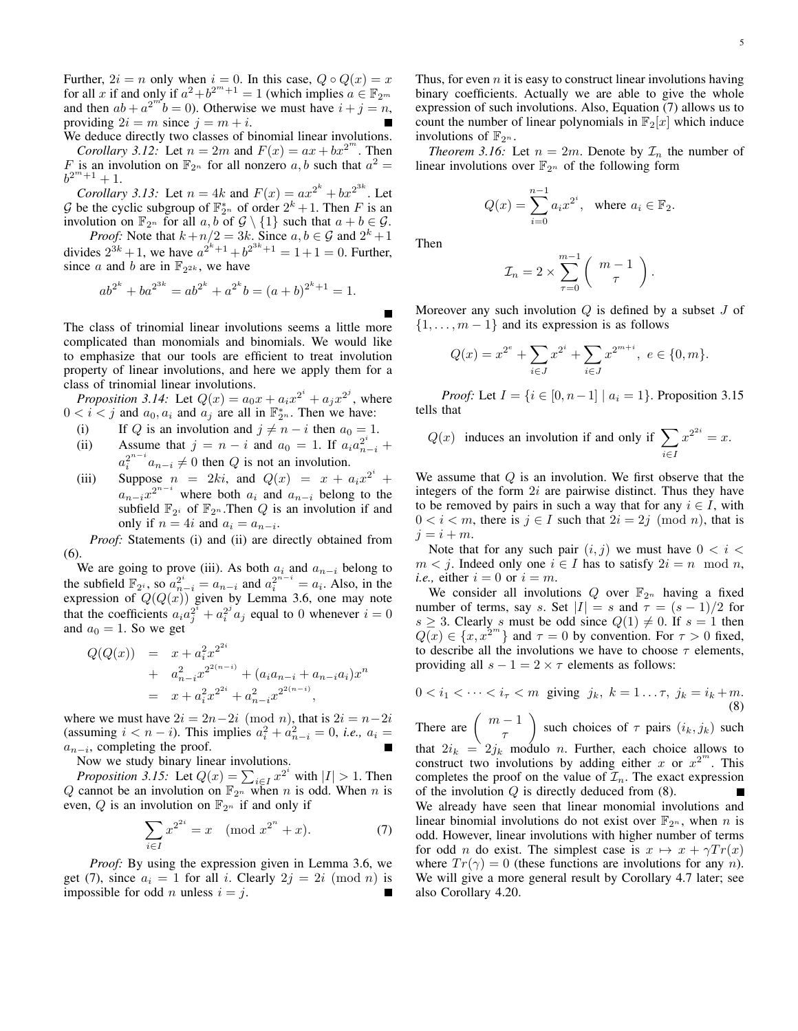Further,  $2i = n$  only when  $i = 0$ . In this case,  $Q \circ Q(x) = x$ for all *x* if and only if  $a^2 + b^{2^m+1} = 1$  (which implies  $a \in \mathbb{F}_{2^m}$ and then  $ab + a^{2^m}b = 0$ ). Otherwise we must have  $i + j = n$ , providing  $2i = m$  since  $j = m + i$ .

We deduce directly two classes of binomial linear involutions. *Corollary 3.12:* Let  $n = 2m$  and  $F(x) = ax + bx^{2m}$ . Then *F* is an involution on  $\mathbb{F}_{2^n}$  for all nonzero *a*, *b* such that  $a^2 =$  $b^{2^m+1}+1.$ 

*Corollary 3.13:* Let  $n = 4k$  and  $F(x) = ax^{2^k} + bx^{2^{3k}}$ . Let *G* be the cyclic subgroup of  $\mathbb{F}_{2^n}^*$  of order  $2^k + 1$ . Then *F* is an involution on  $\mathbb{F}_{2^n}$  for all  $a, b$  of  $\mathcal{G} \setminus \{1\}$  such that  $a + b \in \mathcal{G}$ .

*Proof:* Note that  $k+n/2 = 3k$ . Since  $a, b \in \mathcal{G}$  and  $2^k + 1$ divides  $2^{3k} + 1$ , we have  $a^{2^k+1} + b^{2^{3k}+1} = 1 + 1 = 0$ . Further, since *a* and *b* are in  $\mathbb{F}_{2^{2k}}$ , we have

$$
ab^{2^k} + ba^{2^{3k}} = ab^{2^k} + a^{2^k}b = (a+b)^{2^k+1} = 1.
$$

The class of trinomial linear involutions seems a little more complicated than monomials and binomials. We would like to emphasize that our tools are efficient to treat involution property of linear involutions, and here we apply them for a class of trinomial linear involutions.

*Proposition 3.14:* Let  $Q(x) = a_0 x + a_i x^{2^i} + a_j x^{2^j}$ , where  $0 < i < j$  and  $a_0, a_i$  and  $a_j$  are all in  $\mathbb{F}_{2^n}^*$ . Then we have:

- (i) If *Q* is an involution and  $j \neq n i$  then  $a_0 = 1$ .
- (ii) Assume that  $j = n i$  and  $a_0 = 1$ . If  $a_i a_{n-i}^{2^i}$  +  $a_i^{2^{n-i}} a_{n-i} \neq 0$  then *Q* is not an involution.
- (iii) Suppose  $n = 2ki$ , and  $Q(x) = x + a_i x^{2^i} + ...$  $a_{n-i}x^{2^{n-i}}$  where both  $a_i$  and  $a_{n-i}$  belong to the subfield  $\mathbb{F}_{2^i}$  of  $\mathbb{F}_{2^n}$ . Then *Q* is an involution if and only if  $n = 4i$  and  $a_i = a_{n-i}$ .

*Proof:* Statements (i) and (ii) are directly obtained from (6).

We are going to prove (iii). As both  $a_i$  and  $a_{n-i}$  belong to the subfield  $\mathbb{F}_{2^i}$ , so  $a_{n-i}^{2^i} = a_{n-i}$  and  $a_i^{2^{n-i}} = a_i$ . Also, in the expression of  $Q(Q(x))$  given by Lemma 3.6, one may note that the coefficients  $a_i a_j^2 + a_i^{2^i} a_j$  equal to 0 whenever  $i = 0$ and  $a_0 = 1$ . So we get

$$
Q(Q(x)) = x + a_i^2 x^{2^{2i}}
$$
  
+ 
$$
a_{n-i}^2 x^{2^{2(n-i)}} + (a_i a_{n-i} + a_{n-i} a_i) x^n
$$
  
= 
$$
x + a_i^2 x^{2^{2i}} + a_{n-i}^2 x^{2^{2(n-i)}},
$$

where we must have  $2i = 2n-2i \pmod{n}$ , that is  $2i = n-2i$  $a_i^2 + a_{n-i}^2 = 0$ , *i.e.*,  $a_i =$  $a_{n-i}$ , completing the proof.

Now we study binary linear involutions.

*Proposition 3.15:* Let  $Q(x) = \sum_{i \in I} x^{2^i}$  with  $|I| > 1$ . Then Q cannot be an involution on  $\mathbb{F}_{2^n}$  when *n* is odd. When *n* is even,  $Q$  is an involution on  $\mathbb{F}_{2^n}$  if and only if

$$
\sum_{i \in I} x^{2^{2i}} = x \pmod{x^{2^n} + x}.
$$
 (7)

*Proof:* By using the expression given in Lemma 3.6, we get (7), since  $a_i = 1$  for all *i*. Clearly  $2j = 2i \pmod{n}$  is impossible for odd *n* unless  $i = j$ .

Thus, for even *n* it is easy to construct linear involutions having binary coefficients. Actually we are able to give the whole expression of such involutions. Also, Equation (7) allows us to count the number of linear polynomials in  $\mathbb{F}_2[x]$  which induce involutions of  $\mathbb{F}_{2^n}$ .

*Theorem 3.16:* Let  $n = 2m$ . Denote by  $\mathcal{I}_n$  the number of linear involutions over  $\mathbb{F}_{2^n}$  of the following form

$$
Q(x) = \sum_{i=0}^{n-1} a_i x^{2^i}, \text{ where } a_i \in \mathbb{F}_2.
$$

Then

$$
\mathcal{I}_n = 2 \times \sum_{\tau=0}^{m-1} \left( \begin{array}{c} m-1 \\ \tau \end{array} \right).
$$

Moreover any such involution *Q* is defined by a subset *J* of *{*1*, . . . , m −* 1*}* and its expression is as follows

$$
Q(x) = x^{2^{e}} + \sum_{i \in J} x^{2^{i}} + \sum_{i \in J} x^{2^{m+i}}, \ e \in \{0, m\}.
$$

*Proof:* Let  $I = \{i \in [0, n-1] \mid a_i = 1\}$ . Proposition 3.15 tells that

$$
Q(x)
$$
 induces an involution if and only if  $\sum_{i \in I} x^{2^{2i}} = x$ .

We assume that *Q* is an involution. We first observe that the integers of the form 2*i* are pairwise distinct. Thus they have to be removed by pairs in such a way that for any  $i \in I$ , with  $0 < i < m$ , there is  $j \in I$  such that  $2i = 2j \pmod{n}$ , that is  $j = i + m$ .

Note that for any such pair  $(i, j)$  we must have  $0 < i < j$ *m* < *j*. Indeed only one  $i \in I$  has to satisfy  $2i = n \mod n$ , *i.e.*, either  $i = 0$  or  $i = m$ .

We consider all involutions  $Q$  over  $\mathbb{F}_{2^n}$  having a fixed number of terms, say *s*. Set  $|I| = s$  and  $\tau = (s-1)/2$  for *s*  $\geq$  3. Clearly *s* must be odd since  $Q(1) \neq 0$ . If  $s = 1$  then  $Q(x) \in \{x, x^{2m}\}\$  and  $\tau = 0$  by convention. For  $\tau > 0$  fixed, to describe all the involutions we have to choose *τ* elements, providing all  $s - 1 = 2 \times \tau$  elements as follows:

$$
0 < i_1 < \dots < i_\tau < m \text{ giving } j_k, \ k = 1 \dots \tau, \ j_k = i_k + m. \tag{8}
$$

There are  $\left(\begin{array}{c} m-1 \\ r\end{array}\right)$ *τ*  $\left($  such choices of  $\tau$  pairs  $(i_k, j_k)$  such that  $2i_k = 2j_k$  modulo *n*. Further, each choice allows to construct two involutions by adding either *x* or  $x^{2^m}$ . This completes the proof on the value of  $\mathcal{I}_n$ . The exact expression of the involution *Q* is directly deduced from (8). We already have seen that linear monomial involutions and linear binomial involutions do not exist over  $\mathbb{F}_{2^n}$ , when *n* is odd. However, linear involutions with higher number of terms for odd *n* do exist. The simplest case is  $x \mapsto x + \gamma Tr(x)$ where  $Tr(\gamma) = 0$  (these functions are involutions for any *n*). We will give a more general result by Corollary 4.7 later; see also Corollary 4.20.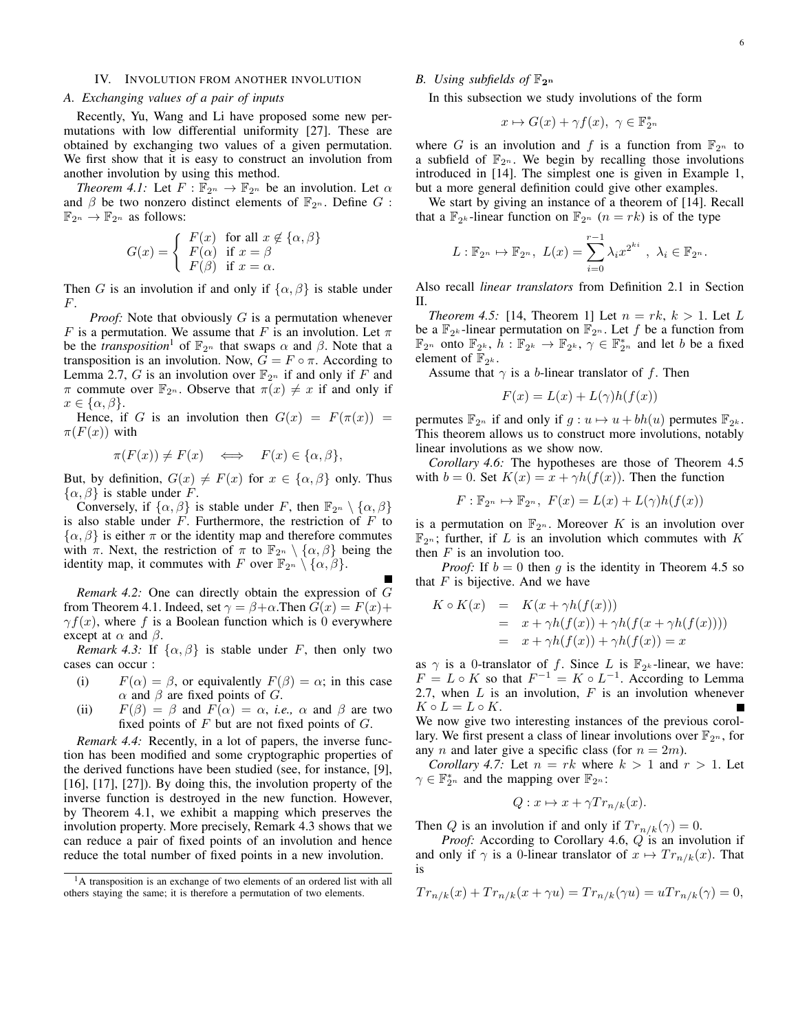## IV. INVOLUTION FROM ANOTHER INVOLUTION

#### *A. Exchanging values of a pair of inputs*

Recently, Yu, Wang and Li have proposed some new permutations with low differential uniformity [27]. These are obtained by exchanging two values of a given permutation. We first show that it is easy to construct an involution from another involution by using this method.

*Theorem 4.1:* Let  $F : \mathbb{F}_{2^n} \to \mathbb{F}_{2^n}$  be an involution. Let  $\alpha$ and  $\beta$  be two nonzero distinct elements of  $\mathbb{F}_{2^n}$ . Define *G* :  $\mathbb{F}_{2^n} \to \mathbb{F}_{2^n}$  as follows:

$$
G(x) = \begin{cases} F(x) & \text{for all } x \notin \{\alpha, \beta\} \\ F(\alpha) & \text{if } x = \beta \\ F(\beta) & \text{if } x = \alpha. \end{cases}
$$

Then *G* is an involution if and only if  $\{\alpha, \beta\}$  is stable under *F*.

*Proof:* Note that obviously *G* is a permutation whenever *F* is a permutation. We assume that *F* is an involution. Let  $\pi$ be the *transposition*<sup>1</sup> of  $\mathbb{F}_{2^n}$  that swaps  $\alpha$  and  $\beta$ . Note that a transposition is an involution. Now,  $G = F \circ \pi$ . According to Lemma 2.7, *G* is an involution over  $\mathbb{F}_{2^n}$  if and only if *F* and *π* commute over  $\mathbb{F}_{2^n}$ . Observe that  $\pi(x) \neq x$  if and only if *x ∈ {α, β}*.

Hence, if *G* is an involution then  $G(x) = F(\pi(x)) =$  $\pi(F(x))$  with

$$
\pi(F(x)) \neq F(x) \iff F(x) \in \{\alpha, \beta\},\
$$

But, by definition,  $G(x) \neq F(x)$  for  $x \in \{\alpha, \beta\}$  only. Thus  $\{\alpha, \beta\}$  is stable under *F*.

Conversely, if  $\{\alpha, \beta\}$  is stable under *F*, then  $\mathbb{F}_{2^n} \setminus \{\alpha, \beta\}$ is also stable under *F*. Furthermore, the restriction of *F* to  $\{\alpha, \beta\}$  is either  $\pi$  or the identity map and therefore commutes with  $\pi$ . Next, the restriction of  $\pi$  to  $\mathbb{F}_{2^n} \setminus \{\alpha, \beta\}$  being the identity map, it commutes with *F* over  $\mathbb{F}_{2^n} \setminus \{\alpha, \beta\}$ .

*Remark 4.2:* One can directly obtain the expression of *G* from Theorem 4.1. Indeed, set  $\gamma = \beta + \alpha$ . Then  $G(x) = F(x) +$  $\gamma f(x)$ , where f is a Boolean function which is 0 everywhere except at  $\alpha$  and  $\beta$ .

*Remark 4.3:* If  $\{\alpha, \beta\}$  is stable under *F*, then only two cases can occur :

- (i)  $F(\alpha) = \beta$ , or equivalently  $F(\beta) = \alpha$ ; in this case *α* and *β* are fixed points of *G*.
- (ii)  $F(\beta) = \beta$  and  $F(\alpha) = \alpha$ , *i.e.*,  $\alpha$  and  $\beta$  are two fixed points of *F* but are not fixed points of *G*.

*Remark 4.4:* Recently, in a lot of papers, the inverse function has been modified and some cryptographic properties of the derived functions have been studied (see, for instance, [9], [16], [17], [27]). By doing this, the involution property of the inverse function is destroyed in the new function. However, by Theorem 4.1, we exhibit a mapping which preserves the involution property. More precisely, Remark 4.3 shows that we can reduce a pair of fixed points of an involution and hence reduce the total number of fixed points in a new involution.

## *B.* Using subfields of  $\mathbb{F}_{2^n}$

In this subsection we study involutions of the form

$$
x \mapsto G(x) + \gamma f(x), \ \gamma \in \mathbb{F}_{2^n}^*
$$

where *G* is an involution and *f* is a function from  $\mathbb{F}_{2^n}$  to a subfield of  $\mathbb{F}_{2^n}$ . We begin by recalling those involutions introduced in [14]. The simplest one is given in Example 1, but a more general definition could give other examples.

We start by giving an instance of a theorem of [14]. Recall that a  $\mathbb{F}_{2^k}$ -linear function on  $\mathbb{F}_{2^n}$   $(n = rk)$  is of the type

$$
L: \mathbb{F}_{2^n} \to \mathbb{F}_{2^n}, \ L(x) = \sum_{i=0}^{r-1} \lambda_i x^{2^{ki}}, \ \lambda_i \in \mathbb{F}_{2^n}.
$$

Also recall *linear translators* from Definition 2.1 in Section II.

*Theorem 4.5:* [14, Theorem 1] Let  $n = rk, k > 1$ . Let L be a  $\mathbb{F}_{2^k}$ -linear permutation on  $\mathbb{F}_{2^n}$ . Let *f* be a function from  $\mathbb{F}_{2^n}$  onto  $\mathbb{F}_{2^k}$ ,  $h: \mathbb{F}_{2^k} \to \mathbb{F}_{2^k}$ ,  $\gamma \in \mathbb{F}_{2^n}^*$  and let *b* be a fixed element of  $\mathbb{F}_{2^k}$ .

Assume that  $\gamma$  is a *b*-linear translator of *f*. Then

$$
F(x) = L(x) + L(\gamma)h(f(x))
$$

permutes  $\mathbb{F}_{2^n}$  if and only if  $g: u \mapsto u + bh(u)$  permutes  $\mathbb{F}_{2^k}$ . This theorem allows us to construct more involutions, notably linear involutions as we show now.

*Corollary 4.6:* The hypotheses are those of Theorem 4.5 with  $b = 0$ . Set  $K(x) = x + \gamma h(f(x))$ . Then the function

$$
F: \mathbb{F}_{2^n} \mapsto \mathbb{F}_{2^n}, \ F(x) = L(x) + L(\gamma)h(f(x))
$$

is a permutation on  $\mathbb{F}_{2^n}$ . Moreover *K* is an involution over  $\mathbb{F}_{2^n}$ ; further, if *L* is an involution which commutes with *K* then *F* is an involution too.

*Proof:* If  $b = 0$  then *q* is the identity in Theorem 4.5 so that *F* is bijective. And we have

$$
K \circ K(x) = K(x + \gamma h(f(x)))
$$
  
=  $x + \gamma h(f(x)) + \gamma h(f(x + \gamma h(f(x))))$   
=  $x + \gamma h(f(x)) + \gamma h(f(x)) = x$ 

as  $\gamma$  is a 0-translator of *f*. Since *L* is  $\mathbb{F}_{2^k}$ -linear, we have:  $F = L \circ K$  so that  $F^{-1} = K \circ L^{-1}$ . According to Lemma 2.7, when *L* is an involution, *F* is an involution whenever  $K \circ L = L \circ K$ .

We now give two interesting instances of the previous corollary. We first present a class of linear involutions over  $\mathbb{F}_{2^n}$ , for any *n* and later give a specific class (for  $n = 2m$ ).

*Corollary 4.7:* Let  $n = rk$  where  $k > 1$  and  $r > 1$ . Let  $\gamma \in \mathbb{F}_{2^n}^*$  and the mapping over  $\mathbb{F}_{2^n}$ :

$$
Q: x \mapsto x + \gamma Tr_{n/k}(x).
$$

Then *Q* is an involution if and only if  $Tr_{n/k}(\gamma) = 0$ .

*Proof:* According to Corollary 4.6, *Q* is an involution if and only if  $\gamma$  is a 0-linear translator of  $x \mapsto Tr_{n/k}(x)$ . That is

$$
Tr_{n/k}(x) + Tr_{n/k}(x + \gamma u) = Tr_{n/k}(\gamma u) = uTr_{n/k}(\gamma) = 0,
$$

<sup>&</sup>lt;sup>1</sup>A transposition is an exchange of two elements of an ordered list with all others staying the same; it is therefore a permutation of two elements.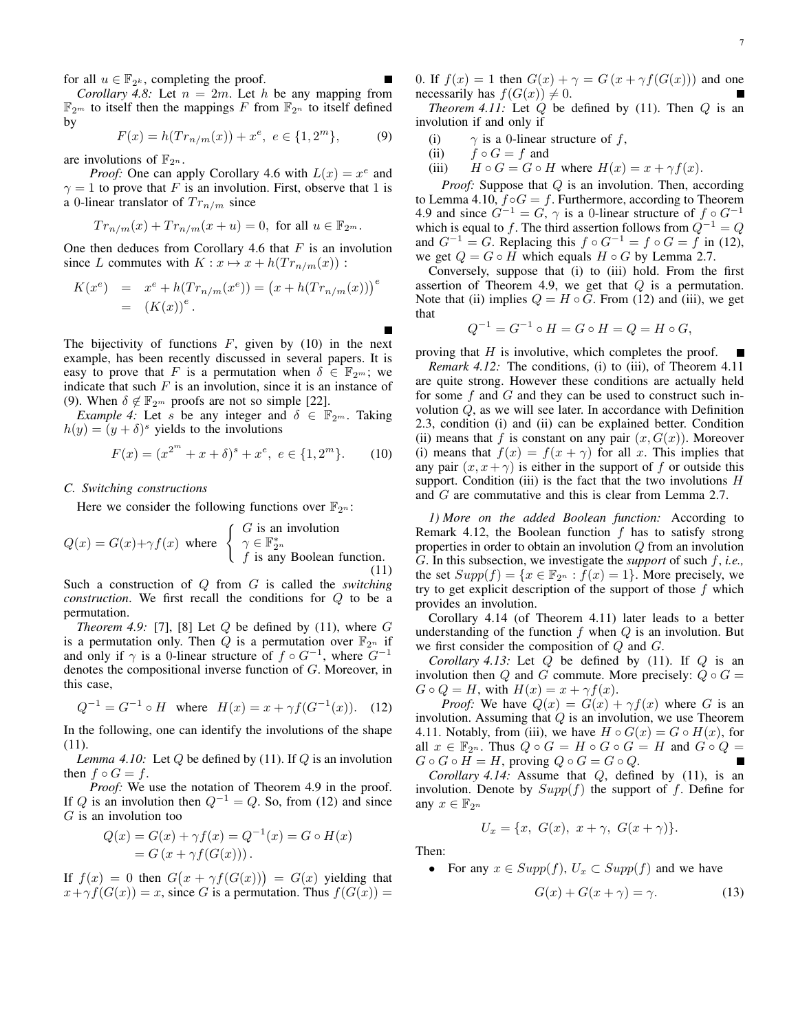for all  $u \in \mathbb{F}_{2^k}$ , completing the proof.

*Corollary 4.8:* Let  $n = 2m$ . Let  $h$  be any mapping from  $\mathbb{F}_{2^m}$  to itself then the mappings *F* from  $\mathbb{F}_{2^n}$  to itself defined by

$$
F(x) = h(Tr_{n/m}(x)) + x^{e}, e \in \{1, 2^{m}\},
$$
 (9)

are involutions of  $\mathbb{F}_{2^n}$ .

*Proof:* One can apply Corollary 4.6 with  $L(x) = x^e$  and  $\gamma = 1$  to prove that *F* is an involution. First, observe that 1 is a 0-linear translator of  $Tr_{n/m}$  since

$$
Tr_{n/m}(x) + Tr_{n/m}(x+u) = 0
$$
, for all  $u \in \mathbb{F}_{2^m}$ .

One then deduces from Corollary 4.6 that *F* is an involution since *L* commutes with  $K: x \mapsto x + h(Tr_{n/m}(x))$ :

$$
K(x^{e}) = x^{e} + h(Tr_{n/m}(x^{e})) = (x + h(Tr_{n/m}(x)))^{e}
$$
  
=  $(K(x))^{e}$ .

The bijectivity of functions  $F$ , given by (10) in the next example, has been recently discussed in several papers. It is easy to prove that *F* is a permutation when  $\delta \in \mathbb{F}_{2^m}$ ; we indicate that such  $F$  is an involution, since it is an instance of (9). When  $\delta \notin \mathbb{F}_{2^m}$  proofs are not so simple [22].

*Example 4:* Let *s* be any integer and  $\delta \in \mathbb{F}_{2^m}$ . Taking  $h(y) = (y + \delta)^s$  yields to the involutions

$$
F(x) = (x^{2^m} + x + \delta)^s + x^e, \ e \in \{1, 2^m\}.
$$
 (10)

#### *C. Switching constructions*

Here we consider the following functions over  $\mathbb{F}_{2^n}$ :

$$
Q(x) = G(x) + \gamma f(x) \text{ where } \begin{cases} G \text{ is an involution} \\ \gamma \in \mathbb{F}_{2^n}^* \\ f \text{ is any Boolean function.} \end{cases}
$$
(11)

Such a construction of *Q* from *G* is called the *switching construction*. We first recall the conditions for *Q* to be a permutation.

*Theorem 4.9:* [7], [8] Let  $Q$  be defined by (11), where  $G$ is a permutation only. Then *Q* is a permutation over  $\mathbb{F}_{2^n}$  if and only if  $\gamma$  is a 0-linear structure of  $f \circ G^{-1}$ , where  $G^{-1}$ denotes the compositional inverse function of *G*. Moreover, in this case,

$$
Q^{-1} = G^{-1} \circ H \quad \text{where} \quad H(x) = x + \gamma f(G^{-1}(x)). \quad (12)
$$

In the following, one can identify the involutions of the shape (11).

*Lemma 4.10:* Let *Q* be defined by (11). If *Q* is an involution then  $f \circ G = f$ .

*Proof:* We use the notation of Theorem 4.9 in the proof. If *Q* is an involution then  $Q^{-1} = Q$ . So, from (12) and since *G* is an involution too

$$
Q(x) = G(x) + \gamma f(x) = Q^{-1}(x) = G \circ H(x)
$$
  
= G (x + \gamma f(G(x))).

If  $f(x) = 0$  then  $G(x + \gamma f(G(x))) = G(x)$  yielding that  $x + \gamma f(G(x)) = x$ , since *G* is a permutation. Thus  $f(G(x)) = x$  0. If  $f(x) = 1$  then  $G(x) + \gamma = G(x + \gamma f(G(x)))$  and one necessarily has  $f(G(x)) \neq 0$ .

*Theorem 4.11:* Let *Q* be defined by (11). Then *Q* is an involution if and only if

- (i)  $\gamma$  is a 0-linear structure of *f*,
- (ii)  $f \circ G = f$  and
- (iii)  $H \circ G = G \circ H$  where  $H(x) = x + \gamma f(x)$ .

*Proof:* Suppose that *Q* is an involution. Then, according to Lemma 4.10,  $f \circ G = f$ . Furthermore, according to Theorem 4.9 and since  $G^{-1} = G$ ,  $\gamma$  is a 0-linear structure of  $f \circ G^{-1}$ which is equal to *f*. The third assertion follows from  $Q^{-1} = Q$ and  $G^{-1} = G$ . Replacing this  $f \circ G^{-1} = f \circ G = f$  in (12), we get  $Q = G \circ H$  which equals  $H \circ G$  by Lemma 2.7.

Conversely, suppose that (i) to (iii) hold. From the first assertion of Theorem 4.9, we get that *Q* is a permutation. Note that (ii) implies  $Q = H \circ G$ . From (12) and (iii), we get that

$$
Q^{-1} = G^{-1} \circ H = G \circ H = Q = H \circ G,
$$

proving that *H* is involutive, which completes the proof. Г

*Remark 4.12:* The conditions, (i) to (iii), of Theorem 4.11 are quite strong. However these conditions are actually held for some *f* and *G* and they can be used to construct such involution *Q*, as we will see later. In accordance with Definition 2.3, condition (i) and (ii) can be explained better. Condition (ii) means that f is constant on any pair  $(x, G(x))$ . Moreover (i) means that  $f(x) = f(x + \gamma)$  for all *x*. This implies that any pair  $(x, x + \gamma)$  is either in the support of f or outside this support. Condition (iii) is the fact that the two involutions *H* and *G* are commutative and this is clear from Lemma 2.7.

*1) More on the added Boolean function:* According to Remark 4.12, the Boolean function *f* has to satisfy strong properties in order to obtain an involution *Q* from an involution *G*. In this subsection, we investigate the *support* of such *f*, *i.e.,* the set  $Supp(f) = \{x \in \mathbb{F}_{2^n} : f(x) = 1\}$ . More precisely, we try to get explicit description of the support of those *f* which provides an involution.

Corollary 4.14 (of Theorem 4.11) later leads to a better understanding of the function *f* when *Q* is an involution. But we first consider the composition of *Q* and *G*.

*Corollary 4.13:* Let *Q* be defined by (11). If *Q* is an involution then *Q* and *G* commute. More precisely:  $Q \circ G =$  $G \circ Q = H$ , with  $H(x) = x + \gamma f(x)$ .

*Proof:* We have  $Q(x) = G(x) + \gamma f(x)$  where *G* is an involution. Assuming that *Q* is an involution, we use Theorem 4.11. Notably, from (iii), we have  $H \circ G(x) = G \circ H(x)$ , for all  $x \in \mathbb{F}_{2^n}$ . Thus  $Q \circ G = H \circ G \circ G = H$  and  $G \circ Q =$  $G \circ G \circ H = H$ , proving  $Q \circ G = G \circ Q$ .

*Corollary 4.14:* Assume that *Q*, defined by (11), is an involution. Denote by *Supp*(*f*) the support of *f*. Define for any  $x \in \mathbb{F}_{2^n}$ 

$$
U_x = \{x, G(x), x + \gamma, G(x + \gamma)\}.
$$

Then:

• For any  $x \in Supp(f)$ ,  $U_x \subset Supp(f)$  and we have

$$
G(x) + G(x + \gamma) = \gamma.
$$
 (13)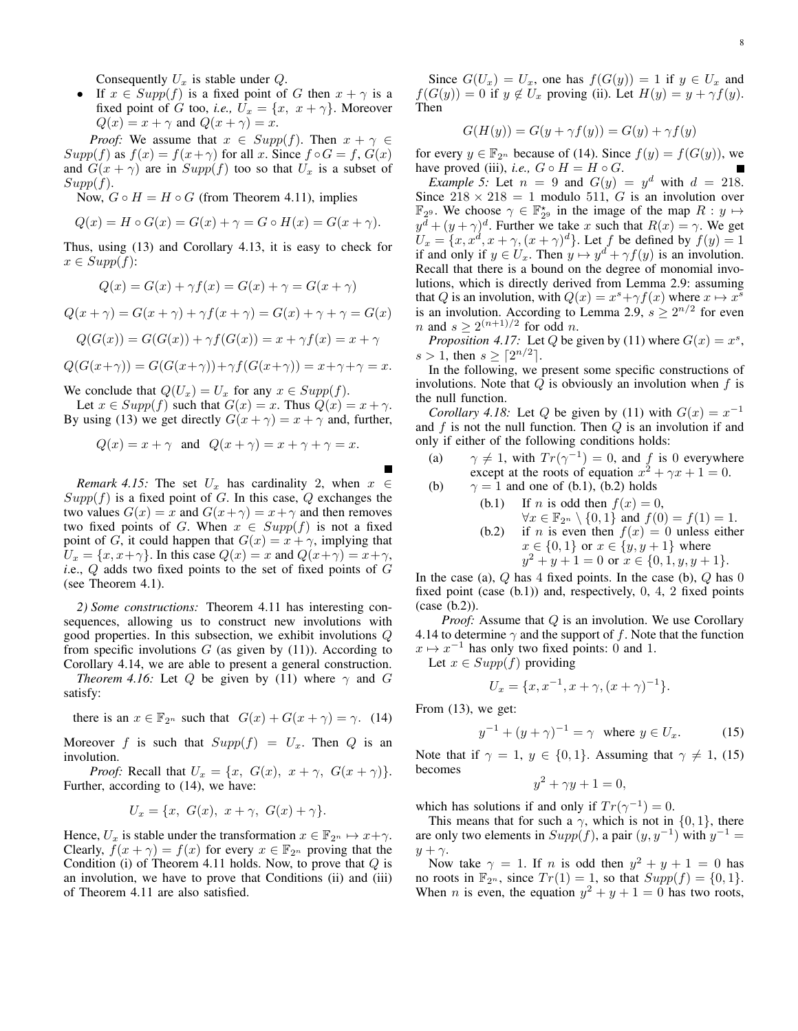Consequently *U<sup>x</sup>* is stable under *Q*.

**•** If  $x \in Supp(f)$  is a fixed point of *G* then  $x + \gamma$  is a fixed point of *G* too, *i.e.*,  $\bar{U}_x = \{x, x + \gamma\}$ . Moreover  $Q(x) = x + \gamma$  and  $Q(x + \gamma) = x$ .

*Proof:* We assume that  $x \in Supp(f)$ . Then  $x + \gamma \in$ *Supp*(*f*) as  $f(x) = f(x + \gamma)$  for all *x*. Since  $f \circ G = f$ ,  $G(x)$ and  $G(x + \gamma)$  are in  $Supp(f)$  too so that  $U_x$  is a subset of *Supp*(*f*).

Now,  $G \circ H = H \circ G$  (from Theorem 4.11), implies

$$
Q(x) = H \circ G(x) = G(x) + \gamma = G \circ H(x) = G(x + \gamma).
$$

Thus, using (13) and Corollary 4.13, it is easy to check for  $x \in Supp(f)$ :

$$
Q(x) = G(x) + \gamma f(x) = G(x) + \gamma = G(x + \gamma)
$$

$$
Q(x + \gamma) = G(x + \gamma) + \gamma f(x + \gamma) = G(x) + \gamma + \gamma = G(x)
$$

$$
Q(G(x)) = G(G(x)) + \gamma f(G(x)) = x + \gamma f(x) = x + \gamma
$$

$$
Q(G(x+\gamma)) = G(G(x+\gamma)) + \gamma f(G(x+\gamma)) = x + \gamma + \gamma = x.
$$

We conclude that  $Q(U_x) = U_x$  for any  $x \in Supp(f)$ .

Let  $x \in Supp(f)$  such that  $G(x) = x$ . Thus  $Q(x) = x + \gamma$ . By using (13) we get directly  $G(x + \gamma) = x + \gamma$  and, further,

$$
Q(x) = x + \gamma
$$
 and  $Q(x + \gamma) = x + \gamma + \gamma = x$ .

*Remark 4.15:* The set  $U_x$  has cardinality 2, when  $x \in$  $Supp(f)$  is a fixed point of *G*. In this case, *Q* exchanges the two values  $G(x) = x$  and  $G(x + \gamma) = x + \gamma$  and then removes two fixed points of *G*. When  $x \in Supp(f)$  is not a fixed point of *G*, it could happen that  $G(x) = x + \gamma$ , implying that  $U_x = \{x, x + \gamma\}$ . In this case  $Q(x) = x$  and  $Q(x + \gamma) = x + \gamma$ , *i*.e., *Q* adds two fixed points to the set of fixed points of *G* (see Theorem 4.1).

*2) Some constructions:* Theorem 4.11 has interesting consequences, allowing us to construct new involutions with good properties. In this subsection, we exhibit involutions *Q* from specific involutions  $G$  (as given by  $(11)$ ). According to Corollary 4.14, we are able to present a general construction.

*Theorem 4.16:* Let *Q* be given by (11) where  $\gamma$  and *G* satisfy:

there is an  $x \in \mathbb{F}_{2^n}$  such that  $G(x) + G(x + \gamma) = \gamma$ . (14)

Moreover *f* is such that  $Supp(f) = U_x$ . Then *Q* is an involution.

*Proof:* Recall that  $U_x = \{x, G(x), x + \gamma, G(x + \gamma)\}.$ Further, according to (14), we have:

$$
U_x = \{x, G(x), x + \gamma, G(x) + \gamma\}.
$$

Hence,  $U_x$  is stable under the transformation  $x \in \mathbb{F}_{2^n} \mapsto x + \gamma$ . Clearly,  $f(x + \gamma) = f(x)$  for every  $x \in \mathbb{F}_{2^n}$  proving that the Condition (i) of Theorem 4.11 holds. Now, to prove that *Q* is an involution, we have to prove that Conditions (ii) and (iii) of Theorem 4.11 are also satisfied.

Since  $G(U_x) = U_x$ , one has  $f(G(y)) = 1$  if  $y \in U_x$  and  $f(G(y)) = 0$  if  $y \notin U_x$  proving (ii). Let  $H(y) = y + \gamma f(y)$ . Then

$$
G(H(y)) = G(y + \gamma f(y)) = G(y) + \gamma f(y)
$$

for every  $y \in \mathbb{F}_{2^n}$  because of (14). Since  $f(y) = f(G(y))$ , we have proved (iii), *i.e.*,  $G \circ H = H \circ G$ .

*Example 5:* Let  $n = 9$  and  $G(y) = y^d$  with  $d = 218$ . Since  $218 \times 218 = 1$  modulo 511, *G* is an involution over  $\mathbb{F}_{2^9}$ . We choose  $\gamma \in \mathbb{F}_{2^9}^{\star}$  in the image of the map  $R: y \mapsto$  $y^d + (y + \gamma)^d$ . Further we take *x* such that  $R(x) = \gamma$ . We get  $U_x = \{x, x^d, x + \gamma, (x + \gamma)^d\}$ . Let *f* be defined by  $f(y) = 1$ if and only if  $y \in U_x$ . Then  $y \mapsto y^d + \gamma f(y)$  is an involution. Recall that there is a bound on the degree of monomial involutions, which is directly derived from Lemma 2.9: assuming that *Q* is an involution, with  $Q(x) = x^s + \gamma f(x)$  where  $x \mapsto x^s$ is an involution. According to Lemma 2.9,  $s \ge 2^{n/2}$  for even *n* and  $s \geq 2^{(n+1)/2}$  for odd *n*.

*Proposition 4.17:* Let *Q* be given by (11) where  $G(x) = x^s$ ,  $s > 1$ , then  $s \ge [2^{n/2}]$ .

In the following, we present some specific constructions of involutions. Note that *Q* is obviously an involution when *f* is the null function.

*Corollary 4.18:* Let *Q* be given by (11) with  $G(x) = x^{-1}$ and *f* is not the null function. Then *Q* is an involution if and only if either of the following conditions holds:

- (a)  $\gamma \neq 1$ , with  $Tr(\gamma^{-1}) = 0$ , and *f* is 0 everywhere except at the roots of equation  $x^2 + \gamma x + 1 = 0$ .
- (b)  $\gamma = 1$  and one of (b.1), (b.2) holds
	- (b.1) If *n* is odd then  $f(x) = 0$ , *∀x*  $\in$   $\mathbb{F}_{2^n}$   $\setminus$  {0, 1} and  $f(0) = f(1) = 1$ . (b.2) if *n* is even then  $f(x) = 0$  unless either *x* ∈ {0, 1} or *x* ∈ {*y, y* + 1} where  $y^2 + y + 1 = 0$  or  $x \in \{0, 1, y, y + 1\}.$

In the case (a), *Q* has 4 fixed points. In the case (b), *Q* has 0 fixed point (case (b.1)) and, respectively, 0, 4, 2 fixed points (case (b.2)).

*Proof:* Assume that *Q* is an involution. We use Corollary 4.14 to determine *γ* and the support of *f*. Note that the function  $x \mapsto x^{-1}$  has only two fixed points: 0 and 1. Let  $x \in Sum(f)$  providing

Let 
$$
x \in \text{Supp}(f)
$$
 proving

$$
U_x = \{x, x^{-1}, x + \gamma, (x + \gamma)^{-1}\}.
$$

From (13), we get:

$$
y^{-1} + (y + \gamma)^{-1} = \gamma \text{ where } y \in U_x.
$$
 (15)

Note that if  $\gamma = 1$ ,  $y \in \{0, 1\}$ . Assuming that  $\gamma \neq 1$ , (15) becomes

$$
y^2 + \gamma y + 1 = 0,
$$

which has solutions if and only if  $Tr(\gamma^{-1}) = 0$ .

This means that for such a  $\gamma$ , which is not in  $\{0, 1\}$ , there are only two elements in  $Supp(f)$ , a pair  $(y, y^{-1})$  with  $y^{-1} =$ *y* + *γ*.

Now take  $\gamma = 1$ . If *n* is odd then  $y^2 + y + 1 = 0$  has no roots in  $\mathbb{F}_{2^n}$ , since  $Tr(1) = 1$ , so that  $Supp(f) = \{0, 1\}$ . When *n* is even, the equation  $y^2 + y + 1 = 0$  has two roots,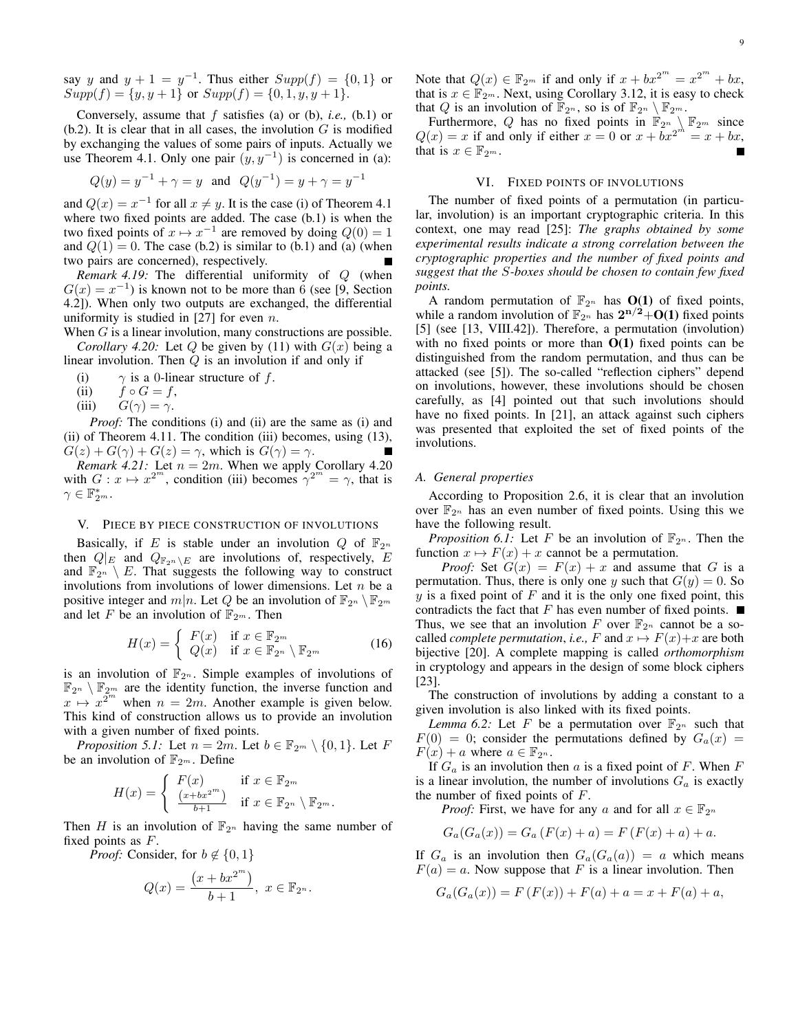say *y* and  $y + 1 = y^{-1}$ . Thus either  $Supp(f) = \{0, 1\}$  or  $Supp(f) = \{y, y + 1\}$  or  $Supp(f) = \{0, 1, y, y + 1\}.$ 

Conversely, assume that *f* satisfies (a) or (b), *i.e.,* (b.1) or  $(b.2)$ . It is clear that in all cases, the involution  $G$  is modified by exchanging the values of some pairs of inputs. Actually we use Theorem 4.1. Only one pair  $(y, y^{-1})$  is concerned in (a):

$$
Q(y) = y^{-1} + \gamma = y \text{ and } Q(y^{-1}) = y + \gamma = y^{-1}
$$

and  $Q(x) = x^{-1}$  for all  $x \neq y$ . It is the case (i) of Theorem 4.1 where two fixed points are added. The case (b.1) is when the two fixed points of  $x \mapsto x^{-1}$  are removed by doing  $Q(0) = 1$ and  $Q(1) = 0$ . The case (b.2) is similar to (b.1) and (a) (when two pairs are concerned), respectively.

*Remark 4.19:* The differential uniformity of *Q* (when  $G(x) = x^{-1}$ ) is known not to be more than 6 (see [9, Section 4.2]). When only two outputs are exchanged, the differential uniformity is studied in [27] for even *n*.

When *G* is a linear involution, many constructions are possible. *Corollary 4.20:* Let *Q* be given by (11) with  $G(x)$  being a linear involution. Then *Q* is an involution if and only if

- (i)  $\gamma$  is a 0-linear structure of *f*.
- (ii)  $f \circ G = f$ ,
- (iii)  $G(\gamma) = \gamma$ .

*Proof:* The conditions (i) and (ii) are the same as (i) and (ii) of Theorem 4.11. The condition (iii) becomes, using (13),  $G(z) + G(\gamma) + G(z) = \gamma$ , which is  $G(\gamma) = \gamma$ .

*Remark 4.21:* Let  $n = 2m$ . When we apply Corollary 4.20 with  $G: x \mapsto x^{2^m}$ , condition (iii) becomes  $\gamma^{2^m} = \gamma$ , that is  $\gamma \in \mathbb{F}_{2^m}^*$ .

#### V. PIECE BY PIECE CONSTRUCTION OF INVOLUTIONS

Basically, if *E* is stable under an involution *Q* of  $\mathbb{F}_{2^n}$ then  $Q|_E$  and  $Q_{\mathbb{F}_{2^n} \setminus E}$  are involutions of, respectively, *E* and  $\mathbb{F}_{2^n} \setminus E$ . That suggests the following way to construct involutions from involutions of lower dimensions. Let *n* be a positive integer and  $m|n$ . Let Q be an involution of  $\mathbb{F}_{2^n} \setminus \mathbb{F}_{2^m}$ and let *F* be an involution of  $\mathbb{F}_{2^m}$ . Then

$$
H(x) = \begin{cases} F(x) & \text{if } x \in \mathbb{F}_{2^m} \\ Q(x) & \text{if } x \in \mathbb{F}_{2^n} \setminus \mathbb{F}_{2^m} \end{cases}
$$
 (16)

is an involution of  $\mathbb{F}_{2^n}$ . Simple examples of involutions of  $\mathbb{F}_{2^n} \setminus \mathbb{F}_{2^m}$  are the identity function, the inverse function and  $x \mapsto x^{2^m}$  when  $n = 2m$ . Another example is given below. This kind of construction allows us to provide an involution with a given number of fixed points.

*Proposition 5.1:* Let  $n = 2m$ . Let  $b \in \mathbb{F}_{2m} \setminus \{0,1\}$ . Let *F* be an involution of  $\mathbb{F}_{2^m}$ . Define

$$
H(x) = \begin{cases} F(x) & \text{if } x \in \mathbb{F}_{2^m} \\ \frac{(x+bx^{2^m})}{b+1} & \text{if } x \in \mathbb{F}_{2^n} \setminus \mathbb{F}_{2^m} .\end{cases}
$$

Then *H* is an involution of  $\mathbb{F}_{2^n}$  having the same number of fixed points as *F*.

*Proof:* Consider, for  $b \notin \{0, 1\}$ 

$$
Q(x)=\frac{\left(x+bx^{2^m}\right)}{b+1},\ x\in \mathbb{F}_{2^n}.
$$

Note that  $Q(x) \in \mathbb{F}_{2^m}$  if and only if  $x + bx^{2^m} = x^{2^m} + bx$ , that is  $x \in \mathbb{F}_{2^m}$ . Next, using Corollary 3.12, it is easy to check that *Q* is an involution of  $\mathbb{F}_{2^n}$ , so is of  $\mathbb{F}_{2^n} \setminus \mathbb{F}_{2^m}$ .

Furthermore, Q has no fixed points in  $\mathbb{F}_{2^n} \setminus \mathbb{F}_{2^m}$  since  $Q(x) = x$  if and only if either  $x = 0$  or  $x + bx^{2m} = x + bx$ , that is  $x \in \mathbb{F}_{2^m}$ .

# VI. FIXED POINTS OF INVOLUTIONS

The number of fixed points of a permutation (in particular, involution) is an important cryptographic criteria. In this context, one may read [25]: *The graphs obtained by some experimental results indicate a strong correlation between the cryptographic properties and the number of fixed points and suggest that the S-boxes should be chosen to contain few fixed points.*

A random permutation of  $\mathbb{F}_{2^n}$  has  $O(1)$  of fixed points, while a random involution of  $\mathbb{F}_{2^n}$  has  $2^{n/2}+O(1)$  fixed points [5] (see [13, VIII.42]). Therefore, a permutation (involution) with no fixed points or more than  $O(1)$  fixed points can be distinguished from the random permutation, and thus can be attacked (see [5]). The so-called "reflection ciphers" depend on involutions, however, these involutions should be chosen carefully, as [4] pointed out that such involutions should have no fixed points. In [21], an attack against such ciphers was presented that exploited the set of fixed points of the involutions.

#### *A. General properties*

According to Proposition 2.6, it is clear that an involution over  $\mathbb{F}_{2^n}$  has an even number of fixed points. Using this we have the following result.

*Proposition 6.1:* Let *F* be an involution of  $\mathbb{F}_{2^n}$ . Then the function  $x \mapsto F(x) + x$  cannot be a permutation.

*Proof:* Set  $G(x) = F(x) + x$  and assume that G is a permutation. Thus, there is only one *y* such that  $G(y) = 0$ . So *y* is a fixed point of *F* and it is the only one fixed point, this contradicts the fact that *F* has even number of fixed points.  $\blacksquare$ Thus, we see that an involution *F* over  $\mathbb{F}_{2^n}$  cannot be a socalled *complete permutation*, *i.e.*,  $F$  and  $x \mapsto F(x)+x$  are both bijective [20]. A complete mapping is called *orthomorphism* in cryptology and appears in the design of some block ciphers [23].

The construction of involutions by adding a constant to a given involution is also linked with its fixed points.

*Lemma 6.2:* Let *F* be a permutation over  $\mathbb{F}_{2^n}$  such that  $F(0) = 0$ ; consider the permutations defined by  $G_a(x) = 0$  $F(x) + a$  where  $a \in \mathbb{F}_{2^n}$ .

If *G<sup>a</sup>* is an involution then *a* is a fixed point of *F*. When *F* is a linear involution, the number of involutions  $G_a$  is exactly the number of fixed points of *F*.

*Proof:* First, we have for any *a* and for all  $x \in \mathbb{F}_{2^n}$ 

$$
G_a(G_a(x)) = G_a(F(x) + a) = F(F(x) + a) + a.
$$

If  $G_a$  is an involution then  $G_a(G_a(a)) = a$  which means  $F(a) = a$ . Now suppose that *F* is a linear involution. Then

$$
G_a(G_a(x)) = F(F(x)) + F(a) + a = x + F(a) + a,
$$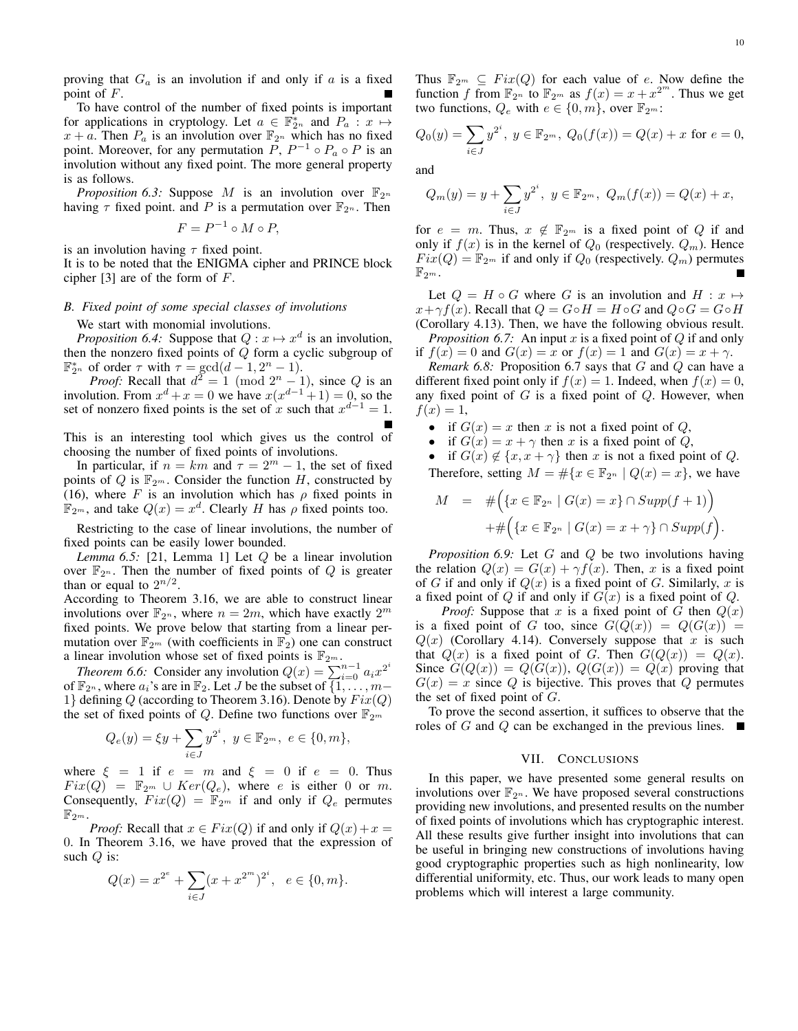proving that  $G_a$  is an involution if and only if  $a$  is a fixed point of *F*.

To have control of the number of fixed points is important for applications in cryptology. Let  $a \in \mathbb{F}_{2^n}^*$  and  $P_a: x \mapsto$  $x + a$ . Then  $P_a$  is an involution over  $\mathbb{F}_{2^n}$  which has no fixed point. Moreover, for any permutation  $P$ ,  $P^{-1} \circ P_a \circ P$  is an involution without any fixed point. The more general property is as follows.

*Proposition 6.3:* Suppose *M* is an involution over  $\mathbb{F}_{2^n}$ having  $\tau$  fixed point. and P is a permutation over  $\mathbb{F}_{2^n}$ . Then

$$
F = P^{-1} \circ M \circ P,
$$

is an involution having *τ* fixed point.

It is to be noted that the ENIGMA cipher and PRINCE block cipher [3] are of the form of *F*.

## *B. Fixed point of some special classes of involutions*

We start with monomial involutions.

*Proposition 6.4:* Suppose that  $Q: x \mapsto x^d$  is an involution, then the nonzero fixed points of *Q* form a cyclic subgroup of  $\mathbb{F}_{2^n}^*$  of order  $\tau$  with  $\tau = \gcd(d-1, 2^n - 1)$ .

*Proof:* Recall that  $d^2 = 1 \pmod{2^n - 1}$ , since *Q* is an involution. From  $x^d + x = 0$  we have  $x(x^{d-1} + 1) = 0$ , so the set of nonzero fixed points is the set of *x* such that  $x^{d-1} = 1$ .

This is an interesting tool which gives us the control of choosing the number of fixed points of involutions.

In particular, if  $n = km$  and  $\tau = 2^m - 1$ , the set of fixed points of  $Q$  is  $\mathbb{F}_{2^m}$ . Consider the function  $H$ , constructed by (16), where *F* is an involution which has  $\rho$  fixed points in  $\mathbb{F}_{2^m}$ , and take  $Q(x) = x^d$ . Clearly *H* has  $\rho$  fixed points too.

Restricting to the case of linear involutions, the number of fixed points can be easily lower bounded.

*Lemma 6.5:* [21, Lemma 1] Let *Q* be a linear involution over  $\mathbb{F}_{2^n}$ . Then the number of fixed points of  $Q$  is greater than or equal to  $2^{n/2}$ .

According to Theorem 3.16, we are able to construct linear involutions over  $\mathbb{F}_{2^n}$ , where  $n = 2m$ , which have exactly  $2^m$ fixed points. We prove below that starting from a linear permutation over  $\mathbb{F}_{2^m}$  (with coefficients in  $\mathbb{F}_2$ ) one can construct a linear involution whose set of fixed points is  $\mathbb{F}_{2^m}$ .

*Theorem 6.6:* Consider any involution  $Q(x) = \sum_{i=0}^{n-1} a_i x^{2^i}$ of  $\mathbb{F}_{2^n}$ , where  $a_i$ 's are in  $\mathbb{F}_2$ . Let *J* be the subset of  $\{1, \ldots, m-$ 1} defining  $Q$  (according to Theorem 3.16). Denote by  $Fix(Q)$ the set of fixed points of *Q*. Define two functions over  $\mathbb{F}_{2^m}$ 

$$
Q_e(y) = \xi y + \sum_{i \in J} y^{2^i}, \ y \in \mathbb{F}_{2^m}, \ e \in \{0, m\},\
$$

where  $\xi = 1$  if  $e = m$  and  $\xi = 0$  if  $e = 0$ . Thus  $Fix(Q) = \mathbb{F}_{2^m} \cup Ker(Q_e)$ , where *e* is either 0 or *m*. Consequently,  $Fix(Q) = \mathbb{F}_{2^m}$  if and only if  $Q_e$  permutes  $\mathbb{F}_{2^m}.$ 

*Proof:* Recall that  $x \in Fix(Q)$  if and only if  $Q(x) + x =$ 0. In Theorem 3.16, we have proved that the expression of such *Q* is:

$$
Q(x) = x^{2^e} + \sum_{i \in J} (x + x^{2^m})^{2^i}, \quad e \in \{0, m\}.
$$

Thus  $\mathbb{F}_{2^m} \subseteq Fix(Q)$  for each value of *e*. Now define the function *f* from  $\mathbb{F}_{2^m}$  to  $\mathbb{F}_{2^m}$  as  $f(x) = x + x^{2^m}$ . Thus we get two functions,  $Q_e$  with  $e \in \{0, m\}$ , over  $\mathbb{F}_{2^m}$ :

$$
Q_0(y) = \sum_{i \in J} y^{2^i}, \ y \in \mathbb{F}_{2^m}, \ Q_0(f(x)) = Q(x) + x \text{ for } e = 0,
$$

and

$$
Q_m(y) = y + \sum_{i \in J} y^{2^i}, \ y \in \mathbb{F}_{2^m}, \ Q_m(f(x)) = Q(x) + x,
$$

for  $e = m$ . Thus,  $x \notin \mathbb{F}_{2^m}$  is a fixed point of *Q* if and only if  $f(x)$  is in the kernel of  $Q_0$  (respectively.  $Q_m$ ). Hence  $Fix(Q) = \mathbb{F}_{2^m}$  if and only if  $Q_0$  (respectively.  $Q_m$ ) permutes  $\mathbb{F}_{2^m}.$ 

Let  $Q = H \circ G$  where *G* is an involution and  $H : x \mapsto$ *x* +  $\gamma f(x)$ . Recall that  $Q = G \circ H = H \circ G$  and  $Q \circ G = G \circ H$ (Corollary 4.13). Then, we have the following obvious result.

*Proposition 6.7:* An input *x* is a fixed point of *Q* if and only if  $f(x) = 0$  and  $G(x) = x$  or  $f(x) = 1$  and  $G(x) = x + \gamma$ .

*Remark 6.8:* Proposition 6.7 says that *G* and *Q* can have a different fixed point only if  $f(x) = 1$ . Indeed, when  $f(x) = 0$ , any fixed point of *G* is a fixed point of *Q*. However, when  $f(x) = 1$ ,

- if  $G(x) = x$  then *x* is not a fixed point of *Q*,
- if  $G(x) = x + \gamma$  then *x* is a fixed point of *Q*,

• if  $G(x) \notin \{x, x + \gamma\}$  then *x* is not a fixed point of *Q*.

Therefore, setting  $M = \# \{ x \in \mathbb{F}_{2^n} \mid Q(x) = x \}$ , we have

$$
M = #\left(\left\{x \in \mathbb{F}_{2^n} \mid G(x) = x\right\} \cap \operatorname{Supp}(f+1)\right) + #\left(\left\{x \in \mathbb{F}_{2^n} \mid G(x) = x + \gamma\right\} \cap \operatorname{Supp}(f)\right).
$$

*Proposition 6.9:* Let *G* and *Q* be two involutions having the relation  $Q(x) = G(x) + \gamma f(x)$ . Then, *x* is a fixed point of *G* if and only if  $Q(x)$  is a fixed point of *G*. Similarly, *x* is a fixed point of *Q* if and only if *G*(*x*) is a fixed point of *Q*.

*Proof:* Suppose that *x* is a fixed point of *G* then  $Q(x)$ is a fixed point of *G* too, since  $G(Q(x)) = Q(G(x)) =$  $Q(x)$  (Corollary 4.14). Conversely suppose that *x* is such that  $Q(x)$  is a fixed point of *G*. Then  $G(Q(x)) = Q(x)$ . Since  $G(Q(x)) = Q(G(x))$ ,  $Q(G(x)) = Q(x)$  proving that  $G(x) = x$  since *Q* is bijective. This proves that *Q* permutes the set of fixed point of *G*.

To prove the second assertion, it suffices to observe that the roles of *G* and *Q* can be exchanged in the previous lines.  $\blacksquare$ 

#### VII. CONCLUSIONS

In this paper, we have presented some general results on involutions over  $\mathbb{F}_{2^n}$ . We have proposed several constructions providing new involutions, and presented results on the number of fixed points of involutions which has cryptographic interest. All these results give further insight into involutions that can be useful in bringing new constructions of involutions having good cryptographic properties such as high nonlinearity, low differential uniformity, etc. Thus, our work leads to many open problems which will interest a large community.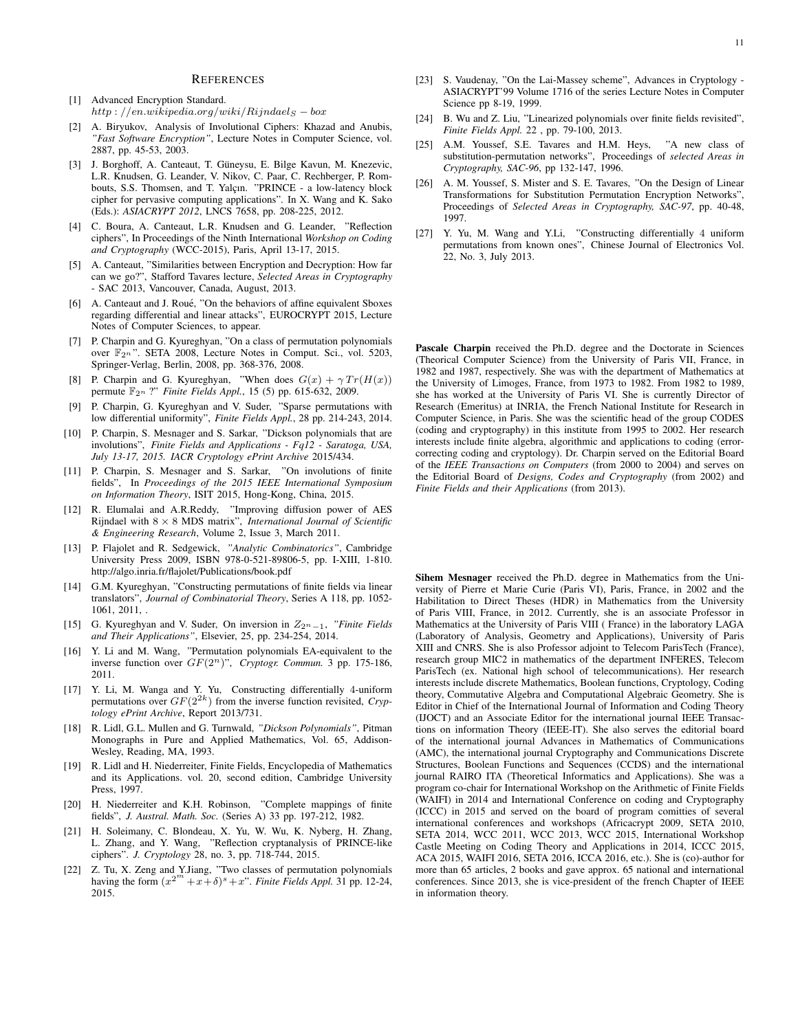#### **REFERENCES**

- [1] Advanced Encryption Standard. *http* : *//en.wikipedia.org/wiki/Rijndael<sup>S</sup> − box*
- [2] A. Biryukov, Analysis of Involutional Ciphers: Khazad and Anubis, *"Fast Software Encryption"*, Lecture Notes in Computer Science, vol. 2887, pp. 45-53, 2003.
- [3] J. Borghoff, A. Canteaut, T. Güneysu, E. Bilge Kavun, M. Knezevic, L.R. Knudsen, G. Leander, V. Nikov, C. Paar, C. Rechberger, P. Rombouts, S.S. Thomsen, and T. Yalçın. "PRINCE - a low-latency block cipher for pervasive computing applications". In X. Wang and K. Sako (Eds.): *ASIACRYPT 2012*, LNCS 7658, pp. 208-225, 2012.
- [4] C. Boura, A. Canteaut, L.R. Knudsen and G. Leander, "Reflection ciphers", In Proceedings of the Ninth International *Workshop on Coding and Cryptography* (WCC-2015), Paris, April 13-17, 2015.
- [5] A. Canteaut, "Similarities between Encryption and Decryption: How far can we go?", Stafford Tavares lecture, *Selected Areas in Cryptography* - SAC 2013, Vancouver, Canada, August, 2013.
- [6] A. Canteaut and J. Roué, "On the behaviors of affine equivalent Sboxes regarding differential and linear attacks", EUROCRYPT 2015, Lecture Notes of Computer Sciences, to appear.
- [7] P. Charpin and G. Kyureghyan, "On a class of permutation polynomials over  $\mathbb{F}_{2^n}$ ". SETA 2008, Lecture Notes in Comput. Sci., vol. 5203, Springer-Verlag, Berlin, 2008, pp. 368-376, 2008.
- [8] P. Charpin and G. Kyureghyan, "When does  $G(x) + \gamma Tr(H(x))$ permute F2*<sup>n</sup>* ?" *Finite Fields Appl.*, 15 (5) pp. 615-632, 2009.
- [9] P. Charpin, G. Kyureghyan and V. Suder, "Sparse permutations with low differential uniformity", *Finite Fields Appl.*, 28 pp. 214-243, 2014.
- [10] P. Charpin, S. Mesnager and S. Sarkar, "Dickson polynomials that are involutions", *Finite Fields and Applications - Fq12 - Saratoga, USA, July 13-17, 2015. IACR Cryptology ePrint Archive* 2015/434.
- [11] P. Charpin, S. Mesnager and S. Sarkar, "On involutions of finite fields", In *Proceedings of the 2015 IEEE International Symposium on Information Theory*, ISIT 2015, Hong-Kong, China, 2015.
- [12] R. Elumalai and A.R.Reddy, "Improving diffusion power of AES Rijndael with 8 *×* 8 MDS matrix", *International Journal of Scientific & Engineering Research*, Volume 2, Issue 3, March 2011.
- [13] P. Flajolet and R. Sedgewick, *"Analytic Combinatorics"*, Cambridge University Press 2009, ISBN 978-0-521-89806-5, pp. I-XIII, 1-810. http://algo.inria.fr/flajolet/Publications/book.pdf
- [14] G.M. Kyureghyan, "Constructing permutations of finite fields via linear translators", *Journal of Combinatorial Theory*, Series A 118, pp. 1052- 1061, 2011, .
- [15] G. Kyureghyan and V. Suder, On inversion in *Z*2*n−*1, *"Finite Fields and Their Applications"*, Elsevier, 25, pp. 234-254, 2014.
- [16] Y. Li and M. Wang, "Permutation polynomials EA-equivalent to the inverse function over *GF*(2*n*)", *Cryptogr. Commun.* 3 pp. 175-186, 2011.
- [17] Y. Li, M. Wanga and Y. Yu, Constructing differentially 4-uniform permutations over *GF*(22*k*) from the inverse function revisited, *Cryptology ePrint Archive*, Report 2013/731.
- [18] R. Lidl, G.L. Mullen and G. Turnwald, *"Dickson Polynomials"*, Pitman Monographs in Pure and Applied Mathematics, Vol. 65, Addison-Wesley, Reading, MA, 1993.
- [19] R. Lidl and H. Niederreiter, Finite Fields, Encyclopedia of Mathematics and its Applications. vol. 20, second edition, Cambridge University Press, 1997.
- [20] H. Niederreiter and K.H. Robinson, "Complete mappings of finite fields", *J. Austral. Math. Soc.* (Series A) 33 pp. 197-212, 1982.
- [21] H. Soleimany, C. Blondeau, X. Yu, W. Wu, K. Nyberg, H. Zhang, L. Zhang, and Y. Wang, "Reflection cryptanalysis of PRINCE-like ciphers". *J. Cryptology* 28, no. 3, pp. 718-744, 2015.
- [22] Z. Tu, X. Zeng and Y.Jiang, "Two classes of permutation polynomials having the form  $(x^{2^m} + x + \delta)^s + x^r$ . *Finite Fields Appl.* 31 pp. 12-24, 2015.
- [23] S. Vaudenay, "On the Lai-Massey scheme", Advances in Cryptology -ASIACRYPT'99 Volume 1716 of the series Lecture Notes in Computer Science pp 8-19, 1999.
- [24] B. Wu and Z. Liu, "Linearized polynomials over finite fields revisited", *Finite Fields Appl.* 22 , pp. 79-100, 2013.
- [25] A.M. Youssef, S.E. Tavares and H.M. Heys, "A new class of substitution-permutation networks", Proceedings of *selected Areas in Cryptography, SAC-96*, pp 132-147, 1996.
- [26] A. M. Youssef, S. Mister and S. E. Tavares, "On the Design of Linear Transformations for Substitution Permutation Encryption Networks", Proceedings of *Selected Areas in Cryptography, SAC-97*, pp. 40-48, 1997.
- [27] Y. Yu, M. Wang and Y.Li, "Constructing differentially 4 uniform permutations from known ones", Chinese Journal of Electronics Vol. 22, No. 3, July 2013.

Pascale Charpin received the Ph.D. degree and the Doctorate in Sciences (Theorical Computer Science) from the University of Paris VII, France, in 1982 and 1987, respectively. She was with the department of Mathematics at the University of Limoges, France, from 1973 to 1982. From 1982 to 1989, she has worked at the University of Paris VI. She is currently Director of Research (Emeritus) at INRIA, the French National Institute for Research in Computer Science, in Paris. She was the scientific head of the group CODES (coding and cryptography) in this institute from 1995 to 2002. Her research interests include finite algebra, algorithmic and applications to coding (errorcorrecting coding and cryptology). Dr. Charpin served on the Editorial Board of the *IEEE Transactions on Computers* (from 2000 to 2004) and serves on the Editorial Board of *Designs, Codes and Cryptography* (from 2002) and *Finite Fields and their Applications* (from 2013).

Sihem Mesnager received the Ph.D. degree in Mathematics from the University of Pierre et Marie Curie (Paris VI), Paris, France, in 2002 and the Habilitation to Direct Theses (HDR) in Mathematics from the University of Paris VIII, France, in 2012. Currently, she is an associate Professor in Mathematics at the University of Paris VIII ( France) in the laboratory LAGA (Laboratory of Analysis, Geometry and Applications), University of Paris XIII and CNRS. She is also Professor adjoint to Telecom ParisTech (France), research group MIC2 in mathematics of the department INFERES, Telecom ParisTech (ex. National high school of telecommunications). Her research interests include discrete Mathematics, Boolean functions, Cryptology, Coding theory, Commutative Algebra and Computational Algebraic Geometry. She is Editor in Chief of the International Journal of Information and Coding Theory (IJOCT) and an Associate Editor for the international journal IEEE Transactions on information Theory (IEEE-IT). She also serves the editorial board of the international journal Advances in Mathematics of Communications (AMC), the international journal Cryptography and Communications Discrete Structures, Boolean Functions and Sequences (CCDS) and the international journal RAIRO ITA (Theoretical Informatics and Applications). She was a program co-chair for International Workshop on the Arithmetic of Finite Fields (WAIFI) in 2014 and International Conference on coding and Cryptography (ICCC) in 2015 and served on the board of program comitties of several international conferences and workshops (Africacrypt 2009, SETA 2010, SETA 2014, WCC 2011, WCC 2013, WCC 2015, International Workshop Castle Meeting on Coding Theory and Applications in 2014, ICCC 2015, ACA 2015, WAIFI 2016, SETA 2016, ICCA 2016, etc.). She is (co)-author for more than 65 articles, 2 books and gave approx. 65 national and international conferences. Since 2013, she is vice-president of the french Chapter of IEEE in information theory.